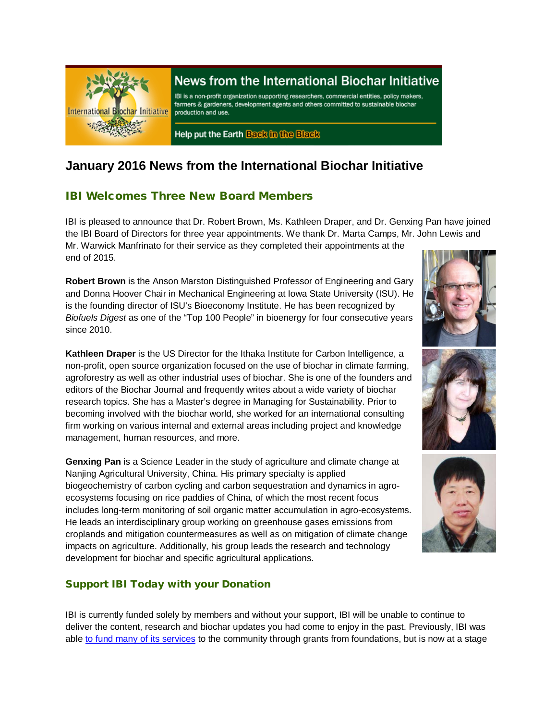

# News from the International Biochar Initiative

IBI is a non-profit organization supporting researchers, commercial entities, policy makers, farmers & gardeners, development agents and others committed to sustainable biochar production and use.

Help put the Earth Back in the Black

# **January 2016 News from the International Biochar Initiative**

### IBI Welcomes Three New Board Members

IBI is pleased to announce that Dr. Robert Brown, Ms. Kathleen Draper, and Dr. Genxing Pan have joined the IBI Board of Directors for three year appointments. We thank Dr. Marta Camps, Mr. John Lewis and Mr. Warwick Manfrinato for their service as they completed their appointments at the end of 2015.

**Robert Brown** is the Anson Marston Distinguished Professor of Engineering and Gary and Donna Hoover Chair in Mechanical Engineering at Iowa State University (ISU). He is the founding director of ISU's Bioeconomy Institute. He has been recognized by *Biofuels Digest* as one of the "Top 100 People" in bioenergy for four consecutive years since 2010.

**Kathleen Draper** is the US Director for the Ithaka Institute for Carbon Intelligence, a non-profit, open source organization focused on the use of biochar in climate farming, agroforestry as well as other industrial uses of biochar. She is one of the founders and editors of the Biochar Journal and frequently writes about a wide variety of biochar research topics. She has a Master's degree in Managing for Sustainability. Prior to becoming involved with the biochar world, she worked for an international consulting firm working on various internal and external areas including project and knowledge management, human resources, and more.

**Genxing Pan** is a Science Leader in the study of agriculture and climate change at Nanjing Agricultural University, China. His primary specialty is applied biogeochemistry of carbon cycling and carbon sequestration and dynamics in agroecosystems focusing on rice paddies of China, of which the most recent focus includes long-term monitoring of soil organic matter accumulation in agro-ecosystems. He leads an interdisciplinary group working on greenhouse gases emissions from croplands and mitigation countermeasures as well as on mitigation of climate change impacts on agriculture. Additionally, his group leads the research and technology development for biochar and specific agricultural applications.

### Support IBI Today with your Donation

IBI is currently funded solely by members and without your support, IBI will be unable to continue to deliver the content, research and biochar updates you had come to enjoy in the past. Previously, IBI was able [to fund many of its services](http://biochar-international.org/join) to the community through grants from foundations, but is now at a stage





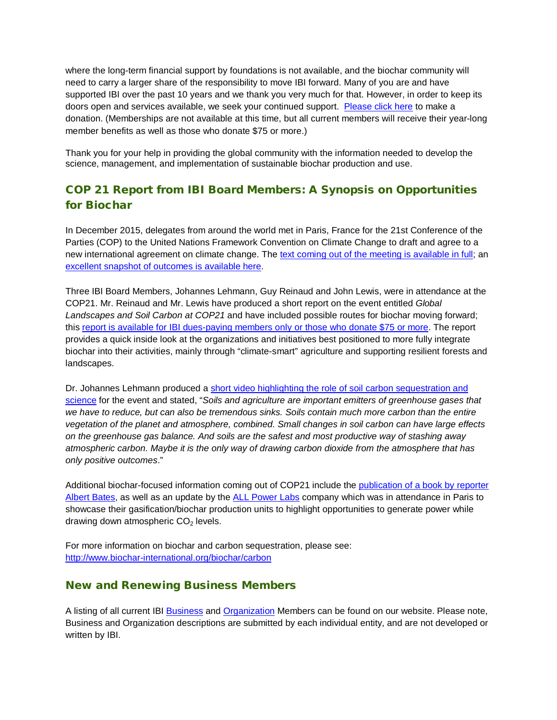where the long-term financial support by foundations is not available, and the biochar community will need to carry a larger share of the responsibility to move IBI forward. Many of you are and have supported IBI over the past 10 years and we thank you very much for that. However, in order to keep its doors open and services available, we seek your continued support. [Please click here](https://ibi.memberclicks.net/index.php?option=com_mc&view=mc&mcid=form_105579) to make a donation. (Memberships are not available at this time, but all current members will receive their year-long member benefits as well as those who donate \$75 or more.)

Thank you for your help in providing the global community with the information needed to develop the science, management, and implementation of sustainable biochar production and use.

## COP 21 Report from IBI Board Members: A Synopsis on Opportunities for Biochar

In December 2015, delegates from around the world met in Paris, France for the 21st Conference of the Parties (COP) to the United Nations Framework Convention on Climate Change to draft and agree to a new international agreement on climate change. Th[e text coming out of the meeting is available in full;](http://unfccc.int/resource/docs/2015/cop21/eng/l09.pdf) an [excellent snapshot of outcomes is available here.](http://4.bp.blogspot.com/-XYMvyza0wVY/VmzSIzjnK-I/AAAAAAAAK0E/0ay6eB0egDA/s1600/CWDR3vBWIAAIW6F.jpg)

Three IBI Board Members, Johannes Lehmann, Guy Reinaud and John Lewis, were in attendance at the COP21. Mr. Reinaud and Mr. Lewis have produced a short report on the event entitled *Global Landscapes and Soil Carbon at COP21* and have included possible routes for biochar moving forward; this [report is available for IBI dues-paying members only](https://ibi.memberclicks.net/login) or those who donate \$75 or more. The report provides a quick inside look at the organizations and initiatives best positioned to more fully integrate biochar into their activities, mainly through "climate-smart" agriculture and supporting resilient forests and landscapes.

Dr. Johannes Lehmann produced a [short video highlighting the role of soil carbon sequestration and](https://www.youtube.com/watch?v=htc_SVhGoDU)  [science](https://www.youtube.com/watch?v=htc_SVhGoDU) for the event and stated, "*Soils and agriculture are important emitters of greenhouse gases that we have to reduce, but can also be tremendous sinks. Soils contain much more carbon than the entire vegetation of the planet and atmosphere, combined. Small changes in soil carbon can have large effects on the greenhouse gas balance. And soils are the safest and most productive way of stashing away atmospheric carbon. Maybe it is the only way of drawing carbon dioxide from the atmosphere that has only positive outcomes*."

Additional biochar-focused information coming out of COP21 include the publication of a book by reporter [Albert Bates,](http://www.amazon.com/gp/product/B019L70NU4) as well as an update by the [ALL Power Labs](http://www.allpowerlabs.com/news/copandcarbon.html) company which was in attendance in Paris to showcase their gasification/biochar production units to highlight opportunities to generate power while drawing down atmospheric  $CO<sub>2</sub>$  levels.

For more information on biochar and carbon sequestration, please see: <http://www.biochar-international.org/biochar/carbon>

### New and Renewing Business Members

A listing of all current IBI [Business](http://ibi.memberclicks.net/message/urlRedir?id=61092&recip=2037fe9e-203a-4b7f-af3c-ac8774c71cbd) and [Organization](http://ibi.memberclicks.net/message/urlRedir?id=61093&recip=2037fe9e-203a-4b7f-af3c-ac8774c71cbd) Members can be found on our website. Please note, Business and Organization descriptions are submitted by each individual entity, and are not developed or written by IBI.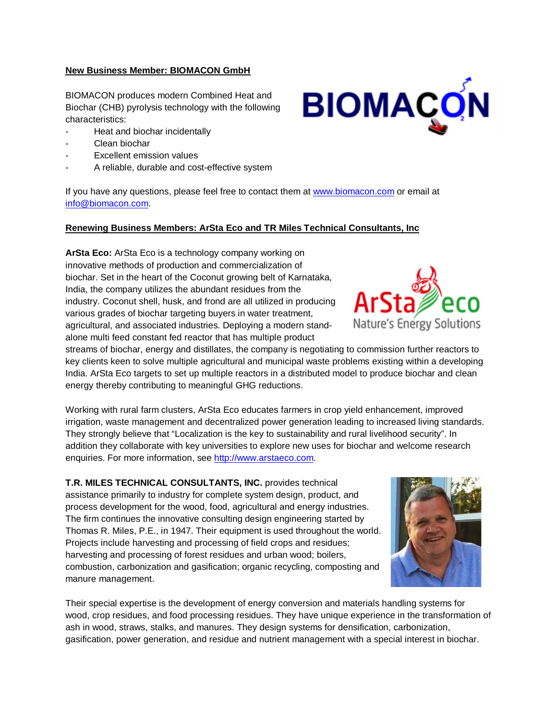#### **New Business Member: BIOMACON GmbH**

BIOMACON produces modern Combined Heat and Biochar (CHB) pyrolysis technology with the following characteristics:

- Heat and biochar incidentally
- Clean biochar
- Excellent emission values
- A reliable, durable and cost-effective system

If you have any questions, please feel free to contact them at [www.biomacon.com](http://www.biomacon.com/) or email at [info@biomacon.com.](mailto:info@biomacon.com)

#### **Renewing Business Members: ArSta Eco and TR Miles Technical Consultants, Inc**

**ArSta Eco:** ArSta Eco is a technology company working on innovative methods of production and commercialization of biochar. Set in the heart of the Coconut growing belt of Karnataka, India, the company utilizes the abundant residues from the industry. Coconut shell, husk, and frond are all utilized in producing various grades of biochar targeting buyers in water treatment, agricultural, and associated industries. Deploying a modern standalone multi feed constant fed reactor that has multiple product

streams of biochar, energy and distillates, the company is negotiating to commission further reactors to key clients keen to solve multiple agricultural and municipal waste problems existing within a developing India. ArSta Eco targets to set up multiple reactors in a distributed model to produce biochar and clean energy thereby contributing to meaningful GHG reductions.

Working with rural farm clusters, ArSta Eco educates farmers in crop yield enhancement, improved irrigation, waste management and decentralized power generation leading to increased living standards. They strongly believe that "Localization is the key to sustainability and rural livelihood security". In addition they collaborate with key universities to explore new uses for biochar and welcome research enquiries. For more information, see [http://www.arstaeco.com.](http://www.arstaeco.com/)

**T.R. MILES TECHNICAL CONSULTANTS, INC.** provides technical assistance primarily to industry for complete system design, product, and process development for the wood, food, agricultural and energy industries. The firm continues the innovative consulting design engineering started by Thomas R. Miles, P.E., in 1947. Their equipment is used throughout the world. Projects include harvesting and processing of field crops and residues; harvesting and processing of forest residues and urban wood; boilers, combustion, carbonization and gasification; organic recycling, composting and manure management.

Their special expertise is the development of energy conversion and materials handling systems for wood, crop residues, and food processing residues. They have unique experience in the transformation of ash in wood, straws, stalks, and manures. They design systems for densification, carbonization, gasification, power generation, and residue and nutrient management with a special interest in biochar.





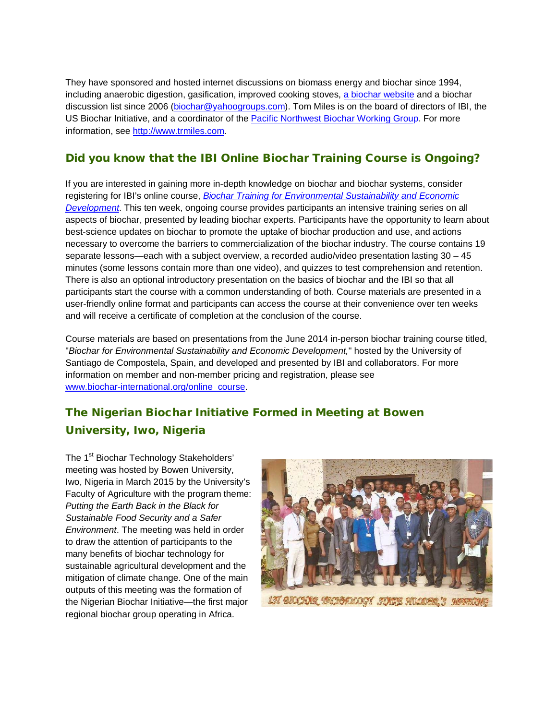They have sponsored and hosted internet discussions on biomass energy and biochar since 1994, including anaerobic digestion, gasification, improved cooking stoves, [a biochar website](http://biochar.bioenergylists.org/) and a biochar discussion list since 2006 [\(biochar@yahoogroups.com\)](mailto:biochar@yahoogroups.com). Tom Miles is on the board of directors of IBI, the US Biochar Initiative, and a coordinator of the [Pacific Northwest Biochar Working Group](http://www.nwbiochar.org/). For more information, see [http://www.trmiles.com.](http://www.trmiles.com/)

### Did you know that the IBI Online Biochar Training Course is Ongoing?

If you are interested in gaining more in-depth knowledge on biochar and biochar systems, consider registering for IBI's online course, *[Biochar Training for Environmental Sustainability and Economic](http://www.biochar-international.org/online_course)  [Development](http://www.biochar-international.org/online_course)*. This ten week, ongoing course provides participants an intensive training series on all aspects of biochar, presented by leading biochar experts. Participants have the opportunity to learn about best-science updates on biochar to promote the uptake of biochar production and use, and actions necessary to overcome the barriers to commercialization of the biochar industry. The course contains 19 separate lessons—each with a subject overview, a recorded audio/video presentation lasting 30 – 45 minutes (some lessons contain more than one video), and quizzes to test comprehension and retention. There is also an optional introductory presentation on the basics of biochar and the IBI so that all participants start the course with a common understanding of both. Course materials are presented in a user-friendly online format and participants can access the course at their convenience over ten weeks and will receive a certificate of completion at the conclusion of the course.

Course materials are based on presentations from the June 2014 in-person biochar training course titled, "*Biochar for Environmental Sustainability and Economic Development,*" hosted by the University of Santiago de Compostela, Spain, and developed and presented by IBI and collaborators. For more information on member and non-member pricing and registration, please see [www.biochar-international.org/online\\_course.](http://www.biochar-international.org/online_course)

# The Nigerian Biochar Initiative Formed in Meeting at Bowen University, Iwo, Nigeria

The 1<sup>st</sup> Biochar Technology Stakeholders' meeting was hosted by Bowen University, Iwo, Nigeria in March 2015 by the University's Faculty of Agriculture with the program theme: *Putting the Earth Back in the Black for Sustainable Food Security and a Safer Environment*. The meeting was held in order to draw the attention of participants to the many benefits of biochar technology for sustainable agricultural development and the mitigation of climate change. One of the main outputs of this meeting was the formation of the Nigerian Biochar Initiative—the first major regional biochar group operating in Africa.

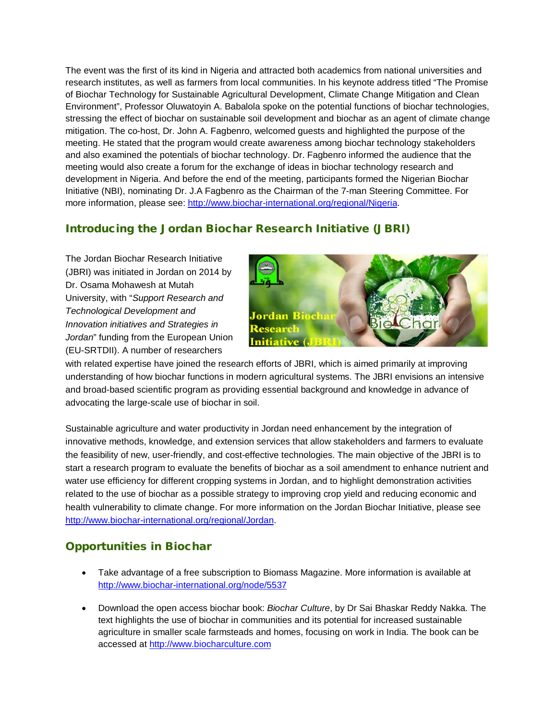The event was the first of its kind in Nigeria and attracted both academics from national universities and research institutes, as well as farmers from local communities. In his keynote address titled "The Promise of Biochar Technology for Sustainable Agricultural Development, Climate Change Mitigation and Clean Environment", Professor Oluwatoyin A. Babalola spoke on the potential functions of biochar technologies, stressing the effect of biochar on sustainable soil development and biochar as an agent of climate change mitigation. The co-host, Dr. John A. Fagbenro, welcomed guests and highlighted the purpose of the meeting. He stated that the program would create awareness among biochar technology stakeholders and also examined the potentials of biochar technology. Dr. Fagbenro informed the audience that the meeting would also create a forum for the exchange of ideas in biochar technology research and development in Nigeria. And before the end of the meeting, participants formed the Nigerian Biochar Initiative (NBI), nominating Dr. J.A Fagbenro as the Chairman of the 7-man Steering Committee. For more information, please see: [http://www.biochar-international.org/regional/Nigeria.](http://www.biochar-international.org/regional/Nigeria)

## Introducing the Jordan Biochar Research Initiative (JBRI)

The Jordan Biochar Research Initiative (JBRI) was initiated in Jordan on 2014 by Dr. Osama Mohawesh at Mutah University, with "*Support Research and Technological Development and Innovation initiatives and Strategies in Jordan*" funding from the European Union (EU-SRTDII). A number of researchers



with related expertise have joined the research efforts of JBRI, which is aimed primarily at improving understanding of how biochar functions in modern agricultural systems. The JBRI envisions an intensive and broad-based scientific program as providing essential background and knowledge in advance of advocating the large-scale use of biochar in soil.

Sustainable agriculture and water productivity in Jordan need enhancement by the integration of innovative methods, knowledge, and extension services that allow stakeholders and farmers to evaluate the feasibility of new, user-friendly, and cost-effective technologies. The main objective of the JBRI is to start a research program to evaluate the benefits of biochar as a soil amendment to enhance nutrient and water use efficiency for different cropping systems in Jordan, and to highlight demonstration activities related to the use of biochar as a possible strategy to improving crop yield and reducing economic and health vulnerability to climate change. For more information on the Jordan Biochar Initiative, please see [http://www.biochar-international.org/regional/Jordan.](http://www.biochar-international.org/regional/Jordan)

# Opportunities in Biochar

- Take advantage of a free subscription to Biomass Magazine. More information is available at <http://www.biochar-international.org/node/5537>
- Download the open access biochar book: *Biochar Culture*, by Dr Sai Bhaskar Reddy Nakka. The text highlights the use of biochar in communities and its potential for increased sustainable agriculture in smaller scale farmsteads and homes, focusing on work in India. The book can be accessed at [http://www.biocharculture.com](http://www.biocharculture.com/)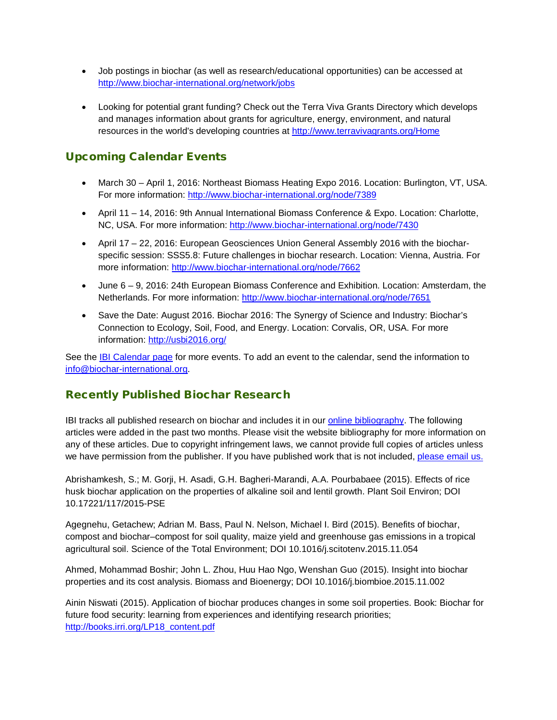- Job postings in biochar (as well as research/educational opportunities) can be accessed at [http://www.biochar-international.org/network/jobs](http://ibi.memberclicks.net/message/urlRedir?id=61120&recip=2037fe9e-203a-4b7f-af3c-ac8774c71cbd)
- Looking for potential grant funding? Check out the Terra Viva Grants Directory which develops and manages information about grants for agriculture, energy, environment, and natural resources in the world's developing countries at<http://www.terravivagrants.org/Home>

## Upcoming Calendar Events

- March 30 April 1, 2016: Northeast Biomass Heating Expo 2016. Location: Burlington, VT, USA. For more information:<http://www.biochar-international.org/node/7389>
- April 11 14, 2016: 9th Annual International Biomass Conference & Expo. Location: Charlotte, NC, USA. For more information:<http://www.biochar-international.org/node/7430>
- April 17 22, 2016: European Geosciences Union General Assembly 2016 with the biocharspecific session: SSS5.8: Future challenges in biochar research. Location: Vienna, Austria. For more information:<http://www.biochar-international.org/node/7662>
- June 6 9, 2016: 24th European Biomass Conference and Exhibition. Location: Amsterdam, the Netherlands. For more information:<http://www.biochar-international.org/node/7651>
- Save the Date: August 2016. Biochar 2016: The Synergy of Science and Industry: Biochar's Connection to Ecology, Soil, Food, and Energy. Location: Corvalis, OR, USA. For more information:<http://usbi2016.org/>

See the [IBI Calendar page](http://ibi.memberclicks.net/message/urlRedir?id=61131&recip=2037fe9e-203a-4b7f-af3c-ac8774c71cbd) for more events. To add an event to the calendar, send the information to [info@biochar-international.org.](http://ibi.memberclicks.net/message/urlRedir?id=61132&recip=2037fe9e-203a-4b7f-af3c-ac8774c71cbd)

### Recently Published Biochar Research

IBI tracks all published research on biochar and includes it in our *online bibliography*. The following articles were added in the past two months. Please visit the website bibliography for more information on any of these articles. Due to copyright infringement laws, we cannot provide full copies of articles unless we have permission from the publisher. If you have published work that is not included, [please email us.](http://ibi.memberclicks.net/message/urlRedir?id=24748&recip=be7c7021-8bab-4aa7-a274-1c95dcc834ca)

Abrishamkesh, S.; M. Gorji, H. Asadi, G.H. Bagheri-Marandi, A.A. Pourbabaee (2015). Effects of rice husk biochar application on the properties of alkaline soil and lentil growth. Plant Soil Environ; DOI 10.17221/117/2015-PSE

Agegnehu, Getachew; Adrian M. Bass, Paul N. Nelson, Michael I. Bird (2015). Benefits of biochar, compost and biochar–compost for soil quality, maize yield and greenhouse gas emissions in a tropical agricultural soil. Science of the Total Environment; DOI 10.1016/j.scitotenv.2015.11.054

Ahmed, Mohammad Boshir; John L. Zhou, Huu Hao Ngo, Wenshan Guo (2015). Insight into biochar properties and its cost analysis. Biomass and Bioenergy; DOI 10.1016/j.biombioe.2015.11.002

Ainin Niswati (2015). Application of biochar produces changes in some soil properties. Book: Biochar for future food security: learning from experiences and identifying research priorities; [http://books.irri.org/LP18\\_content.pdf](http://books.irri.org/LP18_content.pdf#page=15)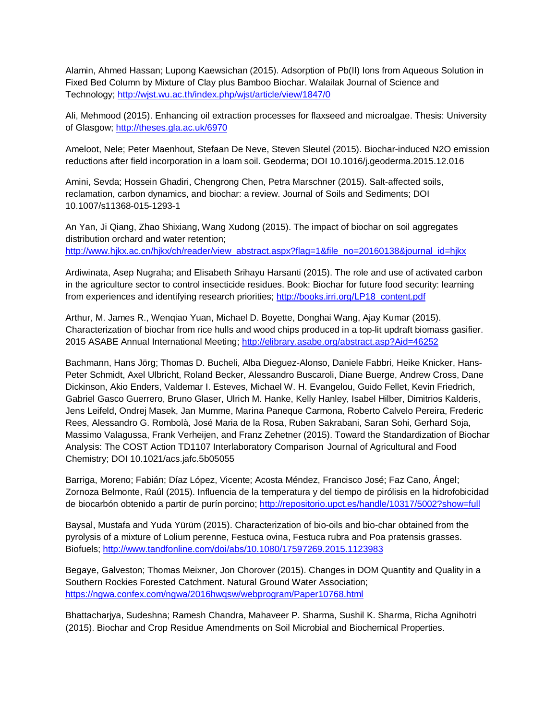Alamin, Ahmed Hassan; Lupong Kaewsichan (2015). Adsorption of Pb(II) Ions from Aqueous Solution in Fixed Bed Column by Mixture of Clay plus Bamboo Biochar. Walailak Journal of Science and Technology;<http://wjst.wu.ac.th/index.php/wjst/article/view/1847/0>

Ali, Mehmood (2015). Enhancing oil extraction processes for flaxseed and microalgae. Thesis: University of Glasgow;<http://theses.gla.ac.uk/6970>

Ameloot, Nele; Peter Maenhout, Stefaan De Neve, Steven Sleutel (2015). Biochar-induced N2O emission reductions after field incorporation in a loam soil. Geoderma; DOI 10.1016/j.geoderma.2015.12.016

Amini, Sevda; Hossein Ghadiri, Chengrong Chen, Petra Marschner (2015). Salt-affected soils, reclamation, carbon dynamics, and biochar: a review. Journal of Soils and Sediments; DOI 10.1007/s11368-015-1293-1

An Yan, Ji Qiang, Zhao Shixiang, Wang Xudong (2015). The impact of biochar on soil aggregates distribution orchard and water retention; [http://www.hjkx.ac.cn/hjkx/ch/reader/view\\_abstract.aspx?flag=1&file\\_no=20160138&journal\\_id=hjkx](http://www.hjkx.ac.cn/hjkx/ch/reader/view_abstract.aspx?flag=1&file_no=20160138&journal_id=hjkx)

Ardiwinata, Asep Nugraha; and Elisabeth Srihayu Harsanti (2015). The role and use of activated carbon in the agriculture sector to control insecticide residues. Book: Biochar for future food security: learning from experiences and identifying research priorities; [http://books.irri.org/LP18\\_content.pdf](http://books.irri.org/LP18_content.pdf#page=64)

Arthur, M. James R., Wenqiao Yuan, Michael D. Boyette, Donghai Wang, Ajay Kumar (2015). Characterization of biochar from rice hulls and wood chips produced in a top-lit updraft biomass gasifier. 2015 ASABE Annual International Meeting;<http://elibrary.asabe.org/abstract.asp?Aid=46252>

Bachmann, Hans Jörg; Thomas D. Bucheli, Alba Dieguez-Alonso, Daniele Fabbri, Heike Knicker, Hans-Peter Schmidt, Axel Ulbricht, Roland Becker, Alessandro Buscaroli, Diane Buerge, Andrew Cross, Dane Dickinson, Akio Enders, Valdemar I. Esteves, Michael W. H. Evangelou, Guido Fellet, Kevin Friedrich, Gabriel Gasco Guerrero, Bruno Glaser, Ulrich M. Hanke, Kelly Hanley, Isabel Hilber, Dimitrios Kalderis, Jens Leifeld, Ondrej Masek, Jan Mumme, Marina Paneque Carmona, Roberto Calvelo Pereira, Frederic Rees, Alessandro G. Rombolà, José Maria de la Rosa, Ruben Sakrabani, Saran Sohi, Gerhard Soja, Massimo Valagussa, Frank Verheijen, and Franz Zehetner (2015). Toward the Standardization of Biochar Analysis: The COST Action TD1107 Interlaboratory Comparison Journal of Agricultural and Food Chemistry; DOI 10.1021/acs.jafc.5b05055

Barriga, Moreno; Fabián; Díaz López, Vicente; Acosta Méndez, Francisco José; Faz Cano, Ángel; Zornoza Belmonte, Raúl (2015). Influencia de la temperatura y del tiempo de pirólisis en la hidrofobicidad de biocarbón obtenido a partir de purín porcino;<http://repositorio.upct.es/handle/10317/5002?show=full>

Baysal, Mustafa and Yuda Yürüm (2015). Characterization of bio-oils and bio-char obtained from the pyrolysis of a mixture of Lolium perenne, Festuca ovina, Festuca rubra and Poa pratensis grasses. Biofuels;<http://www.tandfonline.com/doi/abs/10.1080/17597269.2015.1123983>

Begaye, Galveston; Thomas Meixner, Jon Chorover (2015). Changes in DOM Quantity and Quality in a Southern Rockies Forested Catchment. Natural Ground Water Association; <https://ngwa.confex.com/ngwa/2016hwqsw/webprogram/Paper10768.html>

Bhattacharjya, Sudeshna; Ramesh Chandra, Mahaveer P. Sharma, Sushil K. Sharma, Richa Agnihotri (2015). Biochar and Crop Residue Amendments on Soil Microbial and Biochemical Properties.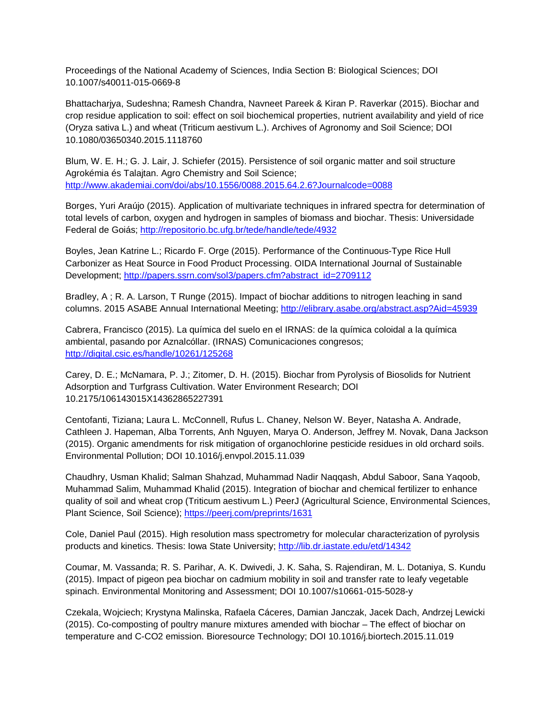Proceedings of the National Academy of Sciences, India Section B: Biological Sciences; DOI 10.1007/s40011-015-0669-8

Bhattacharjya, Sudeshna; Ramesh Chandra, Navneet Pareek & Kiran P. Raverkar (2015). Biochar and crop residue application to soil: effect on soil biochemical properties, nutrient availability and yield of rice (Oryza sativa L.) and wheat (Triticum aestivum L.). Archives of Agronomy and Soil Science; DOI 10.1080/03650340.2015.1118760

Blum, W. E. H.; G. J. Lair, J. Schiefer (2015). Persistence of soil organic matter and soil structure Agrokémia és Talajtan. Agro Chemistry and Soil Science; <http://www.akademiai.com/doi/abs/10.1556/0088.2015.64.2.6?Journalcode=0088>

Borges, Yuri Araújo (2015). Application of multivariate techniques in infrared spectra for determination of total levels of carbon, oxygen and hydrogen in samples of biomass and biochar. Thesis: Universidade Federal de Goiás;<http://repositorio.bc.ufg.br/tede/handle/tede/4932>

Boyles, Jean Katrine L.; Ricardo F. Orge (2015). Performance of the Continuous-Type Rice Hull Carbonizer as Heat Source in Food Product Processing. OIDA International Journal of Sustainable Development; [http://papers.ssrn.com/sol3/papers.cfm?abstract\\_id=2709112](http://papers.ssrn.com/sol3/papers.cfm?abstract_id=2709112)

Bradley, A ; R. A. Larson, T Runge (2015). Impact of biochar additions to nitrogen leaching in sand columns. 2015 ASABE Annual International Meeting;<http://elibrary.asabe.org/abstract.asp?Aid=45939>

Cabrera, Francisco (2015). La química del suelo en el IRNAS: de la química coloidal a la química ambiental, pasando por Aznalcóllar. (IRNAS) Comunicaciones congresos; <http://digital.csic.es/handle/10261/125268>

Carey, D. E.; McNamara, P. J.; Zitomer, D. H. (2015). Biochar from Pyrolysis of Biosolids for Nutrient Adsorption and Turfgrass Cultivation. Water Environment Research; DOI 10.2175/106143015X14362865227391

Centofanti, Tiziana; Laura L. McConnell, Rufus L. Chaney, Nelson W. Beyer, Natasha A. Andrade, Cathleen J. Hapeman, Alba Torrents, Anh Nguyen, Marya O. Anderson, Jeffrey M. Novak, Dana Jackson (2015). Organic amendments for risk mitigation of organochlorine pesticide residues in old orchard soils. Environmental Pollution; DOI 10.1016/j.envpol.2015.11.039

Chaudhry, Usman Khalid; Salman Shahzad, Muhammad Nadir Naqqash, Abdul Saboor, Sana Yaqoob, Muhammad Salim, Muhammad Khalid (2015). Integration of biochar and chemical fertilizer to enhance quality of soil and wheat crop (Triticum aestivum L.) PeerJ (Agricultural Science, Environmental Sciences, Plant Science, Soil Science);<https://peerj.com/preprints/1631>

Cole, Daniel Paul (2015). High resolution mass spectrometry for molecular characterization of pyrolysis products and kinetics. Thesis: Iowa State University;<http://lib.dr.iastate.edu/etd/14342>

Coumar, M. Vassanda; R. S. Parihar, A. K. Dwivedi, J. K. Saha, S. Rajendiran, M. L. Dotaniya, S. Kundu (2015). Impact of pigeon pea biochar on cadmium mobility in soil and transfer rate to leafy vegetable spinach. Environmental Monitoring and Assessment; DOI 10.1007/s10661-015-5028-y

Czekala, Wojciech; Krystyna Malinska, Rafaela Cáceres, Damian Janczak, Jacek Dach, Andrzej Lewicki (2015). Co-composting of poultry manure mixtures amended with biochar – The effect of biochar on temperature and C-CO2 emission. Bioresource Technology; DOI 10.1016/j.biortech.2015.11.019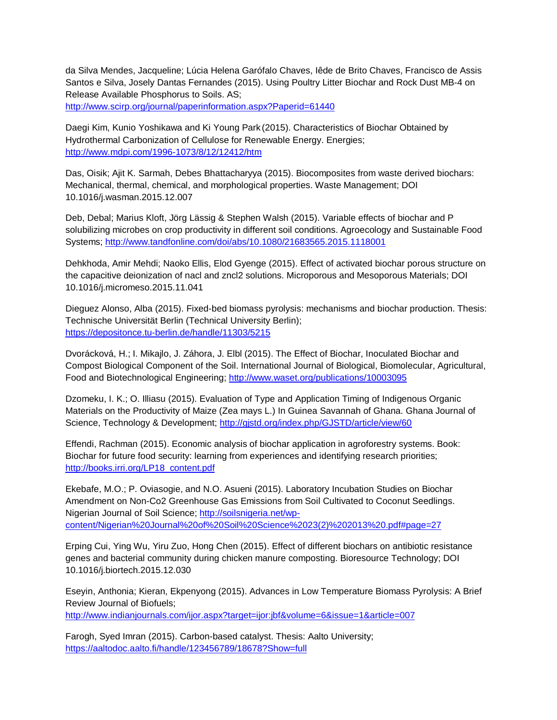da Silva Mendes, Jacqueline; Lúcia Helena Garófalo Chaves, Iêde de Brito Chaves, Francisco de Assis Santos e Silva, Josely Dantas Fernandes (2015). Using Poultry Litter Biochar and Rock Dust MB-4 on Release Available Phosphorus to Soils. AS; <http://www.scirp.org/journal/paperinformation.aspx?Paperid=61440>

Daegi Kim, Kunio Yoshikawa and Ki Young Park (2015). Characteristics of Biochar Obtained by Hydrothermal Carbonization of Cellulose for Renewable Energy. Energies; <http://www.mdpi.com/1996-1073/8/12/12412/htm>

Das, Oisik; Ajit K. Sarmah, Debes Bhattacharyya (2015). Biocomposites from waste derived biochars: Mechanical, thermal, chemical, and morphological properties. Waste Management; DOI 10.1016/j.wasman.2015.12.007

Deb, Debal; Marius Kloft, Jörg Lässig & Stephen Walsh (2015). Variable effects of biochar and P solubilizing microbes on crop productivity in different soil conditions. Agroecology and Sustainable Food Systems;<http://www.tandfonline.com/doi/abs/10.1080/21683565.2015.1118001>

Dehkhoda, Amir Mehdi; Naoko Ellis, Elod Gyenge (2015). Effect of activated biochar porous structure on the capacitive deionization of nacl and zncl2 solutions. Microporous and Mesoporous Materials; DOI 10.1016/j.micromeso.2015.11.041

Dieguez Alonso, Alba (2015). Fixed-bed biomass pyrolysis: mechanisms and biochar production. Thesis: Technische Universität Berlin (Technical University Berlin); <https://depositonce.tu-berlin.de/handle/11303/5215>

Dvorácková, H.; I. Mikajlo, J. Záhora, J. Elbl (2015). The Effect of Biochar, Inoculated Biochar and Compost Biological Component of the Soil. International Journal of Biological, Biomolecular, Agricultural, Food and Biotechnological Engineering;<http://www.waset.org/publications/10003095>

Dzomeku, I. K.; O. Illiasu (2015). Evaluation of Type and Application Timing of Indigenous Organic Materials on the Productivity of Maize (Zea mays L.) In Guinea Savannah of Ghana. Ghana Journal of Science, Technology & Development;<http://gjstd.org/index.php/GJSTD/article/view/60>

Effendi, Rachman (2015). Economic analysis of biochar application in agroforestry systems. Book: Biochar for future food security: learning from experiences and identifying research priorities; [http://books.irri.org/LP18\\_content.pdf](http://books.irri.org/LP18_content.pdf)

Ekebafe, M.O.; P. Oviasogie, and N.O. Asueni (2015). Laboratory Incubation Studies on Biochar Amendment on Non-Co2 Greenhouse Gas Emissions from Soil Cultivated to Coconut Seedlings. Nigerian Journal of Soil Science; [http://soilsnigeria.net/wp](http://soilsnigeria.net/wp-content/Nigerian%20Journal%20of%20Soil%20Science%2023(2)%202013%20.pdf#page=27)[content/Nigerian%20Journal%20of%20Soil%20Science%2023\(2\)%202013%20.pdf#page=27](http://soilsnigeria.net/wp-content/Nigerian%20Journal%20of%20Soil%20Science%2023(2)%202013%20.pdf#page=27)

Erping Cui, Ying Wu, Yiru Zuo, Hong Chen (2015). Effect of different biochars on antibiotic resistance genes and bacterial community during chicken manure composting. Bioresource Technology; DOI 10.1016/j.biortech.2015.12.030

Eseyin, Anthonia; Kieran, Ekpenyong (2015). Advances in Low Temperature Biomass Pyrolysis: A Brief Review Journal of Biofuels;

<http://www.indianjournals.com/ijor.aspx?target=ijor:jbf&volume=6&issue=1&article=007>

Farogh, Syed Imran (2015). Carbon-based catalyst. Thesis: Aalto University; <https://aaltodoc.aalto.fi/handle/123456789/18678?Show=full>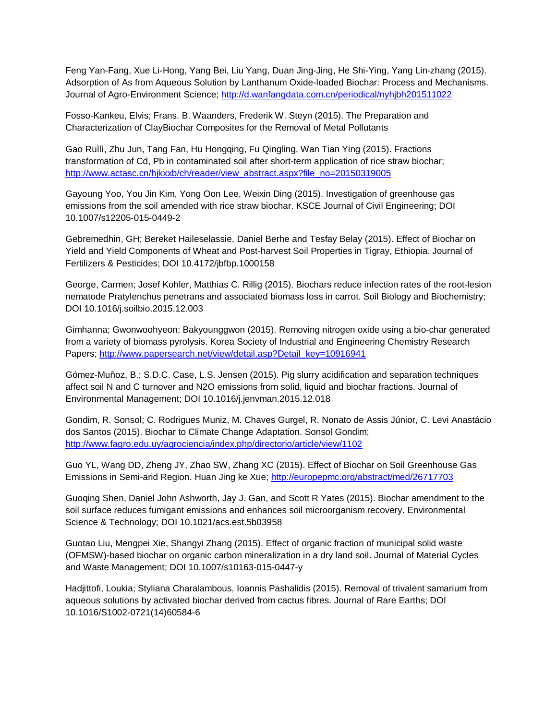Feng Yan-Fang, Xue Li-Hong, Yang Bei, Liu Yang, Duan Jing-Jing, He Shi-Ying, Yang Lin-zhang (2015). Adsorption of As from Aqueous Solution by Lanthanum Oxide-loaded Biochar: Process and Mechanisms. Journal of Agro-Environment Science;<http://d.wanfangdata.com.cn/periodical/nyhjbh201511022>

Fosso-Kankeu, Elvis; Frans. B. Waanders, Frederik W. Steyn (2015). The Preparation and Characterization of ClayBiochar Composites for the Removal of Metal Pollutants

Gao Ruìlì, Zhu Jun, Tang Fan, Hu Hongqing, Fu Qingling, Wan Tian Ying (2015). Fractions transformation of Cd, Pb in contaminated soil after short-term application of rice straw biochar; [http://www.actasc.cn/hjkxxb/ch/reader/view\\_abstract.aspx?file\\_no=20150319005](http://www.actasc.cn/hjkxxb/ch/reader/view_abstract.aspx?file_no=20150319005)

Gayoung Yoo, You Jin Kim, Yong Oon Lee, Weixin Ding (2015). Investigation of greenhouse gas emissions from the soil amended with rice straw biochar. KSCE Journal of Civil Engineering; DOI 10.1007/s12205-015-0449-2

Gebremedhin, GH; Bereket Haileselassie, Daniel Berhe and Tesfay Belay (2015). Effect of Biochar on Yield and Yield Components of Wheat and Post-harvest Soil Properties in Tigray, Ethiopia. Journal of Fertilizers & Pesticides; DOI 10.4172/jbfbp.1000158

George, Carmen; Josef Kohler, Matthias C. Rillig (2015). Biochars reduce infection rates of the root-lesion nematode Pratylenchus penetrans and associated biomass loss in carrot. Soil Biology and Biochemistry; DOI 10.1016/j.soilbio.2015.12.003

Gimhanna; Gwonwoohyeon; Bakyounggwon (2015). Removing nitrogen oxide using a bio-char generated from a variety of biomass pyrolysis. Korea Society of Industrial and Engineering Chemistry Research Papers; [http://www.papersearch.net/view/detail.asp?Detail\\_key=10916941](http://www.papersearch.net/view/detail.asp?Detail_key=10916941)

Gómez-Muñoz, B.; S.D.C. Case, L.S. Jensen (2015). Pig slurry acidification and separation techniques affect soil N and C turnover and N2O emissions from solid, liquid and biochar fractions. Journal of Environmental Management; DOI 10.1016/j.jenvman.2015.12.018

Gondim, R. Sonsol; C. Rodrigues Muniz, M. Chaves Gurgel, R. Nonato de Assis Júnior, C. Levi Anastácio dos Santos (2015). Biochar to Climate Change Adaptation. Sonsol Gondim; <http://www.fagro.edu.uy/agrociencia/index.php/directorio/article/view/1102>

Guo YL, Wang DD, Zheng JY, Zhao SW, Zhang XC (2015). Effect of Biochar on Soil Greenhouse Gas Emissions in Semi-arid Region. Huan Jing ke Xue;<http://europepmc.org/abstract/med/26717703>

Guoqing Shen, Daniel John Ashworth, Jay J. Gan, and Scott R Yates (2015). Biochar amendment to the soil surface reduces fumigant emissions and enhances soil microorganism recovery. Environmental Science & Technology; DOI 10.1021/acs.est.5b03958

Guotao Liu, Mengpei Xie, Shangyi Zhang (2015). Effect of organic fraction of municipal solid waste (OFMSW)-based biochar on organic carbon mineralization in a dry land soil. Journal of Material Cycles and Waste Management; DOI 10.1007/s10163-015-0447-y

Hadjittofi, Loukia; Styliana Charalambous, Ioannis Pashalidis (2015). Removal of trivalent samarium from aqueous solutions by activated biochar derived from cactus fibres. Journal of Rare Earths; DOI 10.1016/S1002-0721(14)60584-6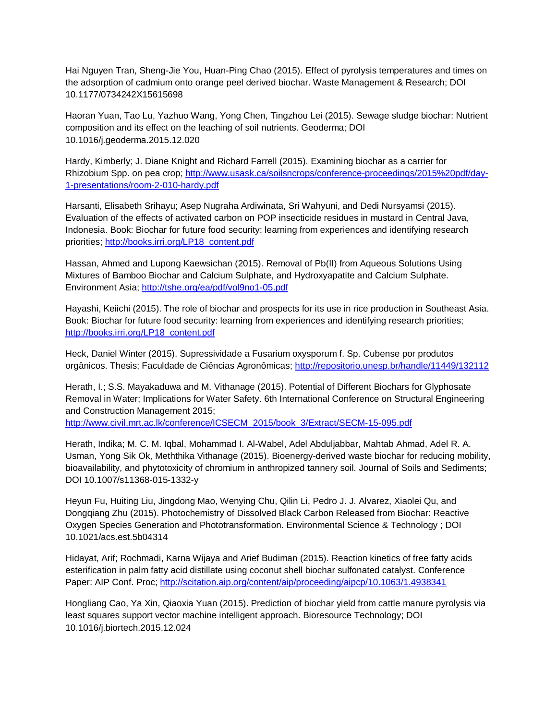Hai Nguyen Tran, Sheng-Jie You, Huan-Ping Chao (2015). Effect of pyrolysis temperatures and times on the adsorption of cadmium onto orange peel derived biochar. Waste Management & Research; DOI 10.1177/0734242X15615698

Haoran Yuan, Tao Lu, Yazhuo Wang, Yong Chen, Tingzhou Lei (2015). Sewage sludge biochar: Nutrient composition and its effect on the leaching of soil nutrients. Geoderma; DOI 10.1016/j.geoderma.2015.12.020

Hardy, Kimberly; J. Diane Knight and Richard Farrell (2015). Examining biochar as a carrier for Rhizobium Spp. on pea crop[; http://www.usask.ca/soilsncrops/conference-proceedings/2015%20pdf/day-](http://www.usask.ca/soilsncrops/conference-proceedings/2015%20pdf/day-1-presentations/room-2-010-hardy.pdf)[1-presentations/room-2-010-hardy.pdf](http://www.usask.ca/soilsncrops/conference-proceedings/2015%20pdf/day-1-presentations/room-2-010-hardy.pdf)

Harsanti, Elisabeth Srihayu; Asep Nugraha Ardiwinata, Sri Wahyuni, and Dedi Nursyamsi (2015). Evaluation of the effects of activated carbon on POP insecticide residues in mustard in Central Java, Indonesia. Book: Biochar for future food security: learning from experiences and identifying research priorities; [http://books.irri.org/LP18\\_content.pdf](http://books.irri.org/LP18_content.pdf)

Hassan, Ahmed and Lupong Kaewsichan (2015). Removal of Pb(II) from Aqueous Solutions Using Mixtures of Bamboo Biochar and Calcium Sulphate, and Hydroxyapatite and Calcium Sulphate. Environment Asia;<http://tshe.org/ea/pdf/vol9no1-05.pdf>

Hayashi, Keiichi (2015). The role of biochar and prospects for its use in rice production in Southeast Asia. Book: Biochar for future food security: learning from experiences and identifying research priorities; [http://books.irri.org/LP18\\_content.pdf](http://books.irri.org/LP18_content.pdf)

Heck, Daniel Winter (2015). Supressividade a Fusarium oxysporum f. Sp. Cubense por produtos orgânicos. Thesis; Faculdade de Ciências Agronômicas;<http://repositorio.unesp.br/handle/11449/132112>

Herath, I.; S.S. Mayakaduwa and M. Vithanage (2015). Potential of Different Biochars for Glyphosate Removal in Water; Implications for Water Safety. 6th International Conference on Structural Engineering and Construction Management 2015; [http://www.civil.mrt.ac.lk/conference/ICSECM\\_2015/book\\_3/Extract/SECM-15-095.pdf](http://www.civil.mrt.ac.lk/conference/ICSECM_2015/book_3/Extract/SECM-15-095.pdf)

Herath, Indika; M. C. M. Iqbal, Mohammad I. Al-Wabel, Adel Abduljabbar, Mahtab Ahmad, Adel R. A. Usman, Yong Sik Ok, Meththika Vithanage (2015). Bioenergy-derived waste biochar for reducing mobility, bioavailability, and phytotoxicity of chromium in anthropized tannery soil. Journal of Soils and Sediments; DOI 10.1007/s11368-015-1332-y

Heyun Fu, Huiting Liu, Jingdong Mao, Wenying Chu, Qilin Li, Pedro J. J. Alvarez, Xiaolei Qu, and Dongqiang Zhu (2015). Photochemistry of Dissolved Black Carbon Released from Biochar: Reactive Oxygen Species Generation and Phototransformation. Environmental Science & Technology ; DOI 10.1021/acs.est.5b04314

Hidayat, Arif; Rochmadi, Karna Wijaya and Arief Budiman (2015). Reaction kinetics of free fatty acids esterification in palm fatty acid distillate using coconut shell biochar sulfonated catalyst. Conference Paper: AIP Conf. Proc;<http://scitation.aip.org/content/aip/proceeding/aipcp/10.1063/1.4938341>

Hongliang Cao, Ya Xin, Qiaoxia Yuan (2015). Prediction of biochar yield from cattle manure pyrolysis via least squares support vector machine intelligent approach. Bioresource Technology; DOI 10.1016/j.biortech.2015.12.024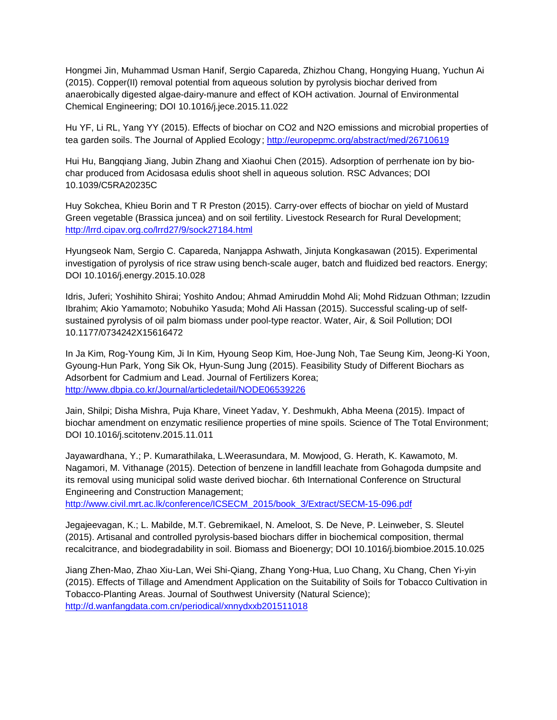Hongmei Jin, Muhammad Usman Hanif, Sergio Capareda, Zhizhou Chang, Hongying Huang, Yuchun Ai (2015). Copper(II) removal potential from aqueous solution by pyrolysis biochar derived from anaerobically digested algae-dairy-manure and effect of KOH activation. Journal of Environmental Chemical Engineering; DOI 10.1016/j.jece.2015.11.022

Hu YF, Li RL, Yang YY (2015). Effects of biochar on CO2 and N2O emissions and microbial properties of tea garden soils. The Journal of Applied Ecology;<http://europepmc.org/abstract/med/26710619>

Hui Hu, Bangqiang Jiang, Jubin Zhang and Xiaohui Chen (2015). Adsorption of perrhenate ion by biochar produced from Acidosasa edulis shoot shell in aqueous solution. RSC Advances; DOI 10.1039/C5RA20235C

Huy Sokchea, Khieu Borin and T R Preston (2015). Carry-over effects of biochar on yield of Mustard Green vegetable (Brassica juncea) and on soil fertility. Livestock Research for Rural Development; <http://lrrd.cipav.org.co/lrrd27/9/sock27184.html>

Hyungseok Nam, Sergio C. Capareda, Nanjappa Ashwath, Jinjuta Kongkasawan (2015). Experimental investigation of pyrolysis of rice straw using bench-scale auger, batch and fluidized bed reactors. Energy; DOI 10.1016/j.energy.2015.10.028

Idris, Juferi; Yoshihito Shirai; Yoshito Andou; Ahmad Amiruddin Mohd Ali; Mohd Ridzuan Othman; Izzudin Ibrahim; Akio Yamamoto; Nobuhiko Yasuda; Mohd Ali Hassan (2015). Successful scaling-up of selfsustained pyrolysis of oil palm biomass under pool-type reactor. Water, Air, & Soil Pollution; DOI 10.1177/0734242X15616472

In Ja Kim, Rog-Young Kim, Ji In Kim, Hyoung Seop Kim, Hoe-Jung Noh, Tae Seung Kim, Jeong-Ki Yoon, Gyoung-Hun Park, Yong Sik Ok, Hyun-Sung Jung (2015). Feasibility Study of Different Biochars as Adsorbent for Cadmium and Lead. Journal of Fertilizers Korea; <http://www.dbpia.co.kr/Journal/articledetail/NODE06539226>

Jain, Shilpi; Disha Mishra, Puja Khare, Vineet Yadav, Y. Deshmukh, Abha Meena (2015). Impact of biochar amendment on enzymatic resilience properties of mine spoils. Science of The Total Environment; DOI 10.1016/j.scitotenv.2015.11.011

Jayawardhana, Y.; P. Kumarathilaka, L.Weerasundara, M. Mowjood, G. Herath, K. Kawamoto, M. Nagamori, M. Vithanage (2015). Detection of benzene in landfill leachate from Gohagoda dumpsite and its removal using municipal solid waste derived biochar. 6th International Conference on Structural Engineering and Construction Management;

[http://www.civil.mrt.ac.lk/conference/ICSECM\\_2015/book\\_3/Extract/SECM-15-096.pdf](http://www.civil.mrt.ac.lk/conference/ICSECM_2015/book_3/Extract/SECM-15-096.pdf)

Jegajeevagan, K.; L. Mabilde, M.T. Gebremikael, N. Ameloot, S. De Neve, P. Leinweber, S. Sleutel (2015). Artisanal and controlled pyrolysis-based biochars differ in biochemical composition, thermal recalcitrance, and biodegradability in soil. Biomass and Bioenergy; DOI 10.1016/j.biombioe.2015.10.025

Jiang Zhen-Mao, Zhao Xiu-Lan, Wei Shi-Qiang, Zhang Yong-Hua, Luo Chang, Xu Chang, Chen Yi-yin (2015). Effects of Tillage and Amendment Application on the Suitability of Soils for Tobacco Cultivation in Tobacco-Planting Areas. Journal of Southwest University (Natural Science); <http://d.wanfangdata.com.cn/periodical/xnnydxxb201511018>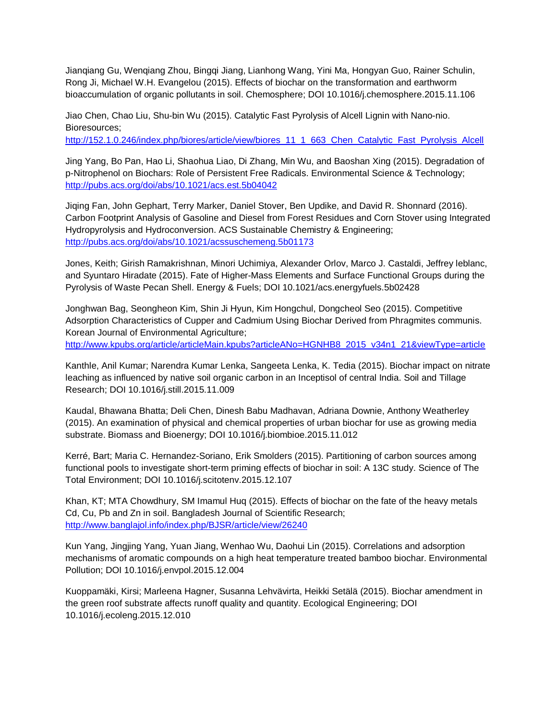Jianqiang Gu, Wenqiang Zhou, Bingqi Jiang, Lianhong Wang, Yini Ma, Hongyan Guo, Rainer Schulin, Rong Ji, Michael W.H. Evangelou (2015). Effects of biochar on the transformation and earthworm bioaccumulation of organic pollutants in soil. Chemosphere; DOI 10.1016/j.chemosphere.2015.11.106

Jiao Chen, Chao Liu, Shu-bin Wu (2015). Catalytic Fast Pyrolysis of Alcell Lignin with Nano-nio. Bioresources;

[http://152.1.0.246/index.php/biores/article/view/biores\\_11\\_1\\_663\\_Chen\\_Catalytic\\_Fast\\_Pyrolysis\\_Alcell](http://152.1.0.246/index.php/biores/article/view/biores_11_1_663_Chen_Catalytic_Fast_Pyrolysis_Alcell)

Jing Yang, Bo Pan, Hao Li, Shaohua Liao, Di Zhang, Min Wu, and Baoshan Xing (2015). Degradation of p-Nitrophenol on Biochars: Role of Persistent Free Radicals. Environmental Science & Technology; <http://pubs.acs.org/doi/abs/10.1021/acs.est.5b04042>

Jiqing Fan, John Gephart, Terry Marker, Daniel Stover, Ben Updike, and David R. Shonnard (2016). Carbon Footprint Analysis of Gasoline and Diesel from Forest Residues and Corn Stover using Integrated Hydropyrolysis and Hydroconversion. ACS Sustainable Chemistry & Engineering; <http://pubs.acs.org/doi/abs/10.1021/acssuschemeng.5b01173>

Jones, Keith; Girish Ramakrishnan, Minori Uchimiya, Alexander Orlov, Marco J. Castaldi, Jeffrey leblanc, and Syuntaro Hiradate (2015). Fate of Higher-Mass Elements and Surface Functional Groups during the Pyrolysis of Waste Pecan Shell. Energy & Fuels; DOI 10.1021/acs.energyfuels.5b02428

Jonghwan Bag, Seongheon Kim, Shin Ji Hyun, Kim Hongchul, Dongcheol Seo (2015). Competitive Adsorption Characteristics of Cupper and Cadmium Using Biochar Derived from Phragmites communis. Korean Journal of Environmental Agriculture;

[http://www.kpubs.org/article/articleMain.kpubs?articleANo=HGNHB8\\_2015\\_v34n1\\_21&viewType=article](http://www.kpubs.org/article/articleMain.kpubs?articleANo=HGNHB8_2015_v34n1_21&viewType=article)

Kanthle, Anil Kumar; Narendra Kumar Lenka, Sangeeta Lenka, K. Tedia (2015). Biochar impact on nitrate leaching as influenced by native soil organic carbon in an Inceptisol of central India. Soil and Tillage Research; DOI 10.1016/j.still.2015.11.009

Kaudal, Bhawana Bhatta; Deli Chen, Dinesh Babu Madhavan, Adriana Downie, Anthony Weatherley (2015). An examination of physical and chemical properties of urban biochar for use as growing media substrate. Biomass and Bioenergy; DOI 10.1016/j.biombioe.2015.11.012

Kerré, Bart; Maria C. Hernandez-Soriano, Erik Smolders (2015). Partitioning of carbon sources among functional pools to investigate short-term priming effects of biochar in soil: A 13C study. Science of The Total Environment; DOI 10.1016/j.scitotenv.2015.12.107

Khan, KT; MTA Chowdhury, SM Imamul Huq (2015). Effects of biochar on the fate of the heavy metals Cd, Cu, Pb and Zn in soil. Bangladesh Journal of Scientific Research; <http://www.banglajol.info/index.php/BJSR/article/view/26240>

Kun Yang, Jingjing Yang, Yuan Jiang, Wenhao Wu, Daohui Lin (2015). Correlations and adsorption mechanisms of aromatic compounds on a high heat temperature treated bamboo biochar. Environmental Pollution; DOI 10.1016/j.envpol.2015.12.004

Kuoppamäki, Kirsi; Marleena Hagner, Susanna Lehvävirta, Heikki Setälä (2015). Biochar amendment in the green roof substrate affects runoff quality and quantity. Ecological Engineering; DOI 10.1016/j.ecoleng.2015.12.010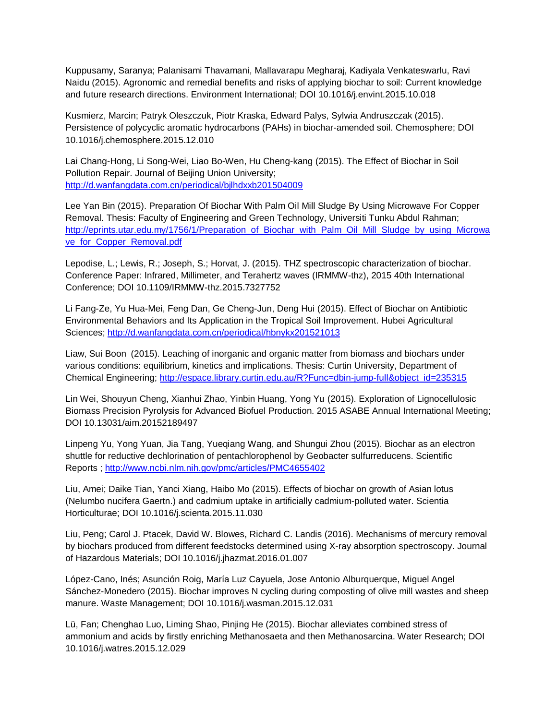Kuppusamy, Saranya; Palanisami Thavamani, Mallavarapu Megharaj, Kadiyala Venkateswarlu, Ravi Naidu (2015). Agronomic and remedial benefits and risks of applying biochar to soil: Current knowledge and future research directions. Environment International; DOI 10.1016/j.envint.2015.10.018

Kusmierz, Marcin; Patryk Oleszczuk, Piotr Kraska, Edward Palys, Sylwia Andruszczak (2015). Persistence of polycyclic aromatic hydrocarbons (PAHs) in biochar-amended soil. Chemosphere; DOI 10.1016/j.chemosphere.2015.12.010

Lai Chang-Hong, Li Song-Wei, Liao Bo-Wen, Hu Cheng-kang (2015). The Effect of Biochar in Soil Pollution Repair. Journal of Beijing Union University; <http://d.wanfangdata.com.cn/periodical/bjlhdxxb201504009>

Lee Yan Bin (2015). Preparation Of Biochar With Palm Oil Mill Sludge By Using Microwave For Copper Removal. Thesis: Faculty of Engineering and Green Technology, Universiti Tunku Abdul Rahman; [http://eprints.utar.edu.my/1756/1/Preparation\\_of\\_Biochar\\_with\\_Palm\\_Oil\\_Mill\\_Sludge\\_by\\_using\\_Microwa](http://eprints.utar.edu.my/1756/1/Preparation_of_Biochar_with_Palm_Oil_Mill_Sludge_by_using_Microwave_for_Copper_Removal.pdf) [ve\\_for\\_Copper\\_Removal.pdf](http://eprints.utar.edu.my/1756/1/Preparation_of_Biochar_with_Palm_Oil_Mill_Sludge_by_using_Microwave_for_Copper_Removal.pdf)

Lepodise, L.; Lewis, R.; Joseph, S.; Horvat, J. (2015). THZ spectroscopic characterization of biochar. Conference Paper: Infrared, Millimeter, and Terahertz waves (IRMMW-thz), 2015 40th International Conference; DOI 10.1109/IRMMW-thz.2015.7327752

Li Fang-Ze, Yu Hua-Mei, Feng Dan, Ge Cheng-Jun, Deng Hui (2015). Effect of Biochar on Antibiotic Environmental Behaviors and Its Application in the Tropical Soil Improvement. Hubei Agricultural Sciences;<http://d.wanfangdata.com.cn/periodical/hbnykx201521013>

Liaw, Sui Boon (2015). Leaching of inorganic and organic matter from biomass and biochars under various conditions: equilibrium, kinetics and implications. Thesis: Curtin University, Department of Chemical Engineering; [http://espace.library.curtin.edu.au/R?Func=dbin-jump-full&object\\_id=235315](http://espace.library.curtin.edu.au/R?Func=dbin-jump-full&object_id=235315)

Lin Wei, Shouyun Cheng, Xianhui Zhao, Yinbin Huang, Yong Yu (2015). Exploration of Lignocellulosic Biomass Precision Pyrolysis for Advanced Biofuel Production. 2015 ASABE Annual International Meeting; DOI 10.13031/aim.20152189497

Linpeng Yu, Yong Yuan, Jia Tang, Yueqiang Wang, and Shungui Zhou (2015). Biochar as an electron shuttle for reductive dechlorination of pentachlorophenol by Geobacter sulfurreducens. Scientific Reports ;<http://www.ncbi.nlm.nih.gov/pmc/articles/PMC4655402>

Liu, Amei; Daike Tian, Yanci Xiang, Haibo Mo (2015). Effects of biochar on growth of Asian lotus (Nelumbo nucifera Gaertn.) and cadmium uptake in artificially cadmium-polluted water. Scientia Horticulturae; DOI 10.1016/j.scienta.2015.11.030

Liu, Peng; Carol J. Ptacek, David W. Blowes, Richard C. Landis (2016). Mechanisms of mercury removal by biochars produced from different feedstocks determined using X-ray absorption spectroscopy. Journal of Hazardous Materials; DOI 10.1016/j.jhazmat.2016.01.007

López-Cano, Inés; Asunción Roig, María Luz Cayuela, Jose Antonio Alburquerque, Miguel Angel Sánchez-Monedero (2015). Biochar improves N cycling during composting of olive mill wastes and sheep manure. Waste Management; DOI 10.1016/j.wasman.2015.12.031

Lü, Fan; Chenghao Luo, Liming Shao, Pinjing He (2015). Biochar alleviates combined stress of ammonium and acids by firstly enriching Methanosaeta and then Methanosarcina. Water Research; DOI 10.1016/j.watres.2015.12.029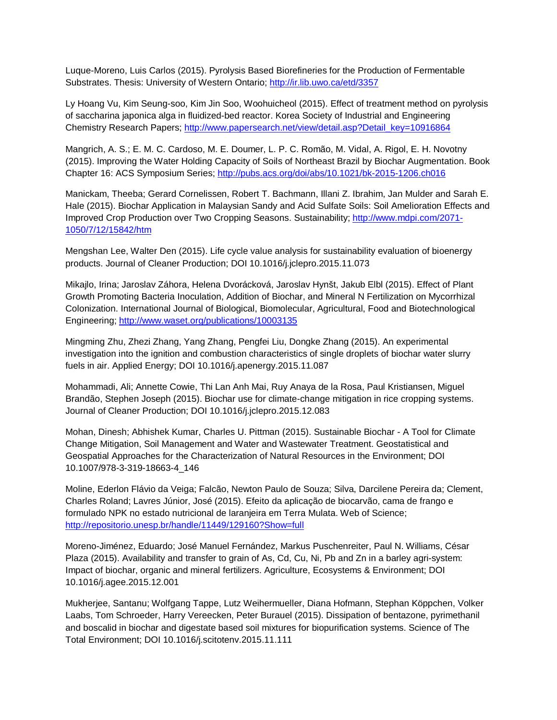Luque-Moreno, Luis Carlos (2015). Pyrolysis Based Biorefineries for the Production of Fermentable Substrates. Thesis: University of Western Ontario;<http://ir.lib.uwo.ca/etd/3357>

Ly Hoang Vu, Kim Seung-soo, Kim Jin Soo, Woohuicheol (2015). Effect of treatment method on pyrolysis of saccharina japonica alga in fluidized-bed reactor. Korea Society of Industrial and Engineering Chemistry Research Papers; [http://www.papersearch.net/view/detail.asp?Detail\\_key=10916864](http://www.papersearch.net/view/detail.asp?Detail_key=10916864)

Mangrich, A. S.; E. M. C. Cardoso, M. E. Doumer, L. P. C. Romão, M. Vidal, A. Rigol, E. H. Novotny (2015). Improving the Water Holding Capacity of Soils of Northeast Brazil by Biochar Augmentation. Book Chapter 16: ACS Symposium Series;<http://pubs.acs.org/doi/abs/10.1021/bk-2015-1206.ch016>

Manickam, Theeba; Gerard Cornelissen, Robert T. Bachmann, Illani Z. Ibrahim, Jan Mulder and Sarah E. Hale (2015). Biochar Application in Malaysian Sandy and Acid Sulfate Soils: Soil Amelioration Effects and Improved Crop Production over Two Cropping Seasons. Sustainability[; http://www.mdpi.com/2071-](http://www.mdpi.com/2071-1050/7/12/15842/htm) [1050/7/12/15842/htm](http://www.mdpi.com/2071-1050/7/12/15842/htm)

Mengshan Lee, Walter Den (2015). Life cycle value analysis for sustainability evaluation of bioenergy products. Journal of Cleaner Production; DOI 10.1016/j.jclepro.2015.11.073

Mikajlo, Irina; Jaroslav Záhora, Helena Dvorácková, Jaroslav Hynšt, Jakub Elbl (2015). Effect of Plant Growth Promoting Bacteria Inoculation, Addition of Biochar, and Mineral N Fertilization on Mycorrhizal Colonization. International Journal of Biological, Biomolecular, Agricultural, Food and Biotechnological Engineering;<http://www.waset.org/publications/10003135>

Mingming Zhu, Zhezi Zhang, Yang Zhang, Pengfei Liu, Dongke Zhang (2015). An experimental investigation into the ignition and combustion characteristics of single droplets of biochar water slurry fuels in air. Applied Energy; DOI 10.1016/j.apenergy.2015.11.087

Mohammadi, Ali; Annette Cowie, Thi Lan Anh Mai, Ruy Anaya de la Rosa, Paul Kristiansen, Miguel Brandão, Stephen Joseph (2015). Biochar use for climate-change mitigation in rice cropping systems. Journal of Cleaner Production; DOI 10.1016/j.jclepro.2015.12.083

Mohan, Dinesh; Abhishek Kumar, Charles U. Pittman (2015). Sustainable Biochar - A Tool for Climate Change Mitigation, Soil Management and Water and Wastewater Treatment. Geostatistical and Geospatial Approaches for the Characterization of Natural Resources in the Environment; DOI 10.1007/978-3-319-18663-4\_146

Moline, Ederlon Flávio da Veiga; Falcão, Newton Paulo de Souza; Silva, Darcilene Pereira da; Clement, Charles Roland; Lavres Júnior, José (2015). Efeito da aplicação de biocarvão, cama de frango e formulado NPK no estado nutricional de laranjeira em Terra Mulata. Web of Science; <http://repositorio.unesp.br/handle/11449/129160?Show=full>

Moreno-Jiménez, Eduardo; José Manuel Fernández, Markus Puschenreiter, Paul N. Williams, César Plaza (2015). Availability and transfer to grain of As, Cd, Cu, Ni, Pb and Zn in a barley agri-system: Impact of biochar, organic and mineral fertilizers. Agriculture, Ecosystems & Environment; DOI 10.1016/j.agee.2015.12.001

Mukherjee, Santanu; Wolfgang Tappe, Lutz Weihermueller, Diana Hofmann, Stephan Köppchen, Volker Laabs, Tom Schroeder, Harry Vereecken, Peter Burauel (2015). Dissipation of bentazone, pyrimethanil and boscalid in biochar and digestate based soil mixtures for biopurification systems. Science of The Total Environment; DOI 10.1016/j.scitotenv.2015.11.111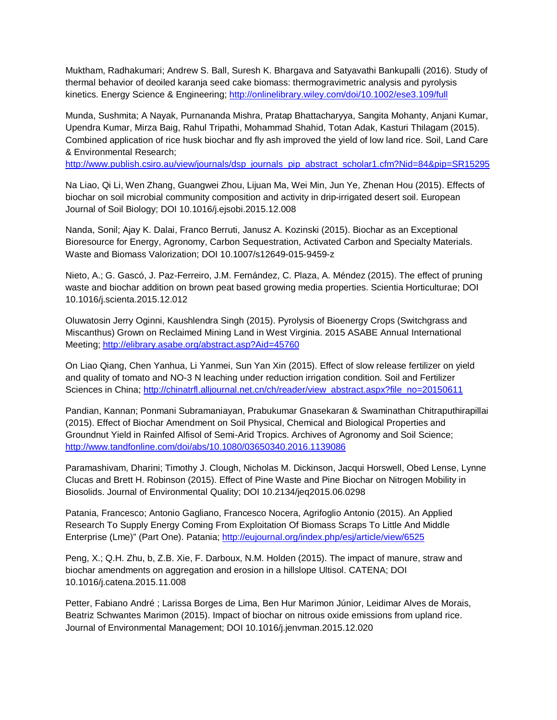Muktham, Radhakumari; Andrew S. Ball, Suresh K. Bhargava and Satyavathi Bankupalli (2016). Study of thermal behavior of deoiled karanja seed cake biomass: thermogravimetric analysis and pyrolysis kinetics. Energy Science & Engineering;<http://onlinelibrary.wiley.com/doi/10.1002/ese3.109/full>

Munda, Sushmita; A Nayak, Purnananda Mishra, Pratap Bhattacharyya, Sangita Mohanty, Anjani Kumar, Upendra Kumar, Mirza Baig, Rahul Tripathi, Mohammad Shahid, Totan Adak, Kasturi Thilagam (2015). Combined application of rice husk biochar and fly ash improved the yield of low land rice. Soil, Land Care & Environmental Research;

[http://www.publish.csiro.au/view/journals/dsp\\_journals\\_pip\\_abstract\\_scholar1.cfm?Nid=84&pip=SR15295](http://www.publish.csiro.au/view/journals/dsp_journals_pip_abstract_scholar1.cfm?Nid=84&pip=SR15295)

Na Liao, Qi Li, Wen Zhang, Guangwei Zhou, Lijuan Ma, Wei Min, Jun Ye, Zhenan Hou (2015). Effects of biochar on soil microbial community composition and activity in drip-irrigated desert soil. European Journal of Soil Biology; DOI 10.1016/j.ejsobi.2015.12.008

Nanda, Sonil; Ajay K. Dalai, Franco Berruti, Janusz A. Kozinski (2015). Biochar as an Exceptional Bioresource for Energy, Agronomy, Carbon Sequestration, Activated Carbon and Specialty Materials. Waste and Biomass Valorization; DOI 10.1007/s12649-015-9459-z

Nieto, A.; G. Gascó, J. Paz-Ferreiro, J.M. Fernández, C. Plaza, A. Méndez (2015). The effect of pruning waste and biochar addition on brown peat based growing media properties. Scientia Horticulturae; DOI 10.1016/j.scienta.2015.12.012

Oluwatosin Jerry Oginni, Kaushlendra Singh (2015). Pyrolysis of Bioenergy Crops (Switchgrass and Miscanthus) Grown on Reclaimed Mining Land in West Virginia. 2015 ASABE Annual International Meeting;<http://elibrary.asabe.org/abstract.asp?Aid=45760>

On Liao Qiang, Chen Yanhua, Li Yanmei, Sun Yan Xin (2015). Effect of slow release fertilizer on yield and quality of tomato and NO-3 N leaching under reduction irrigation condition. Soil and Fertilizer Sciences in China; [http://chinatrfl.alljournal.net.cn/ch/reader/view\\_abstract.aspx?file\\_no=20150611](http://chinatrfl.alljournal.net.cn/ch/reader/view_abstract.aspx?file_no=20150611)

Pandian, Kannan; Ponmani Subramaniayan, Prabukumar Gnasekaran & Swaminathan Chitraputhirapillai (2015). Effect of Biochar Amendment on Soil Physical, Chemical and Biological Properties and Groundnut Yield in Rainfed Alfisol of Semi-Arid Tropics. Archives of Agronomy and Soil Science; <http://www.tandfonline.com/doi/abs/10.1080/03650340.2016.1139086>

Paramashivam, Dharini; Timothy J. Clough, Nicholas M. Dickinson, Jacqui Horswell, Obed Lense, Lynne Clucas and Brett H. Robinson (2015). Effect of Pine Waste and Pine Biochar on Nitrogen Mobility in Biosolids. Journal of Environmental Quality; DOI 10.2134/jeq2015.06.0298

Patania, Francesco; Antonio Gagliano, Francesco Nocera, Agrifoglio Antonio (2015). An Applied Research To Supply Energy Coming From Exploitation Of Biomass Scraps To Little And Middle Enterprise (Lme)" (Part One). Patania;<http://eujournal.org/index.php/esj/article/view/6525>

Peng, X.; Q.H. Zhu, b, Z.B. Xie, F. Darboux, N.M. Holden (2015). The impact of manure, straw and biochar amendments on aggregation and erosion in a hillslope Ultisol. CATENA; DOI 10.1016/j.catena.2015.11.008

Petter, Fabiano André ; Larissa Borges de Lima, Ben Hur Marimon Júnior, Leidimar Alves de Morais, Beatriz Schwantes Marimon (2015). Impact of biochar on nitrous oxide emissions from upland rice. Journal of Environmental Management; DOI 10.1016/j.jenvman.2015.12.020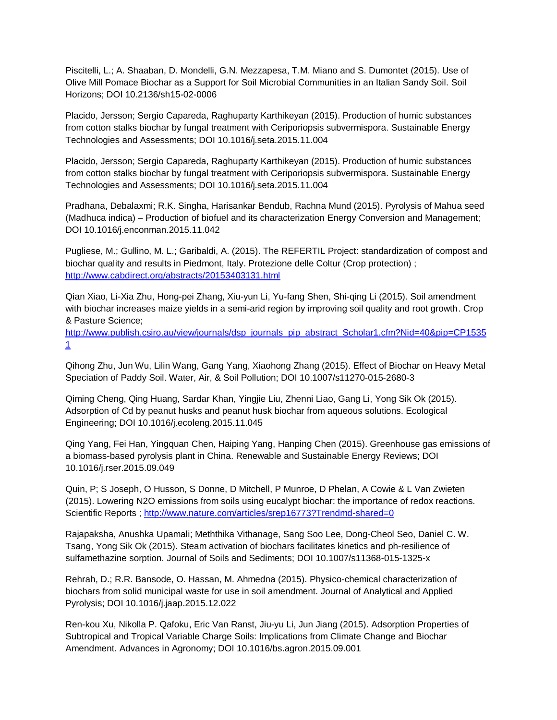Piscitelli, L.; A. Shaaban, D. Mondelli, G.N. Mezzapesa, T.M. Miano and S. Dumontet (2015). Use of Olive Mill Pomace Biochar as a Support for Soil Microbial Communities in an Italian Sandy Soil. Soil Horizons; DOI 10.2136/sh15-02-0006

Placido, Jersson; Sergio Capareda, Raghuparty Karthikeyan (2015). Production of humic substances from cotton stalks biochar by fungal treatment with Ceriporiopsis subvermispora. Sustainable Energy Technologies and Assessments; DOI 10.1016/j.seta.2015.11.004

Placido, Jersson; Sergio Capareda, Raghuparty Karthikeyan (2015). Production of humic substances from cotton stalks biochar by fungal treatment with Ceriporiopsis subvermispora. Sustainable Energy Technologies and Assessments; DOI 10.1016/j.seta.2015.11.004

Pradhana, Debalaxmi; R.K. Singha, Harisankar Bendub, Rachna Mund (2015). Pyrolysis of Mahua seed (Madhuca indica) – Production of biofuel and its characterization Energy Conversion and Management; DOI 10.1016/j.enconman.2015.11.042

Pugliese, M.; Gullino, M. L.; Garibaldi, A. (2015). The REFERTIL Project: standardization of compost and biochar quality and results in Piedmont, Italy. Protezione delle Coltur (Crop protection) ; <http://www.cabdirect.org/abstracts/20153403131.html>

Qian Xiao, Li-Xia Zhu, Hong-pei Zhang, Xiu-yun Li, Yu-fang Shen, Shi-qing Li (2015). Soil amendment with biochar increases maize yields in a semi-arid region by improving soil quality and root growth. Crop & Pasture Science;

[http://www.publish.csiro.au/view/journals/dsp\\_journals\\_pip\\_abstract\\_Scholar1.cfm?Nid=40&pip=CP1535](http://www.publish.csiro.au/view/journals/dsp_journals_pip_abstract_Scholar1.cfm?Nid=40&pip=CP15351) [1](http://www.publish.csiro.au/view/journals/dsp_journals_pip_abstract_Scholar1.cfm?Nid=40&pip=CP15351)

Qihong Zhu, Jun Wu, Lilin Wang, Gang Yang, Xiaohong Zhang (2015). Effect of Biochar on Heavy Metal Speciation of Paddy Soil. Water, Air, & Soil Pollution; DOI 10.1007/s11270-015-2680-3

Qiming Cheng, Qing Huang, Sardar Khan, Yingjie Liu, Zhenni Liao, Gang Li, Yong Sik Ok (2015). Adsorption of Cd by peanut husks and peanut husk biochar from aqueous solutions. Ecological Engineering; DOI 10.1016/j.ecoleng.2015.11.045

Qing Yang, Fei Han, Yingquan Chen, Haiping Yang, Hanping Chen (2015). Greenhouse gas emissions of a biomass-based pyrolysis plant in China. Renewable and Sustainable Energy Reviews; DOI 10.1016/j.rser.2015.09.049

Quin, P; S Joseph, O Husson, S Donne, D Mitchell, P Munroe, D Phelan, A Cowie & L Van Zwieten (2015). Lowering N2O emissions from soils using eucalypt biochar: the importance of redox reactions. Scientific Reports ;<http://www.nature.com/articles/srep16773?Trendmd-shared=0>

Rajapaksha, Anushka Upamali; Meththika Vithanage, Sang Soo Lee, Dong-Cheol Seo, Daniel C. W. Tsang, Yong Sik Ok (2015). Steam activation of biochars facilitates kinetics and ph-resilience of sulfamethazine sorption. Journal of Soils and Sediments; DOI 10.1007/s11368-015-1325-x

Rehrah, D.; R.R. Bansode, O. Hassan, M. Ahmedna (2015). Physico-chemical characterization of biochars from solid municipal waste for use in soil amendment. Journal of Analytical and Applied Pyrolysis; DOI 10.1016/j.jaap.2015.12.022

Ren-kou Xu, Nikolla P. Qafoku, Eric Van Ranst, Jiu-yu Li, Jun Jiang (2015). Adsorption Properties of Subtropical and Tropical Variable Charge Soils: Implications from Climate Change and Biochar Amendment. Advances in Agronomy; DOI 10.1016/bs.agron.2015.09.001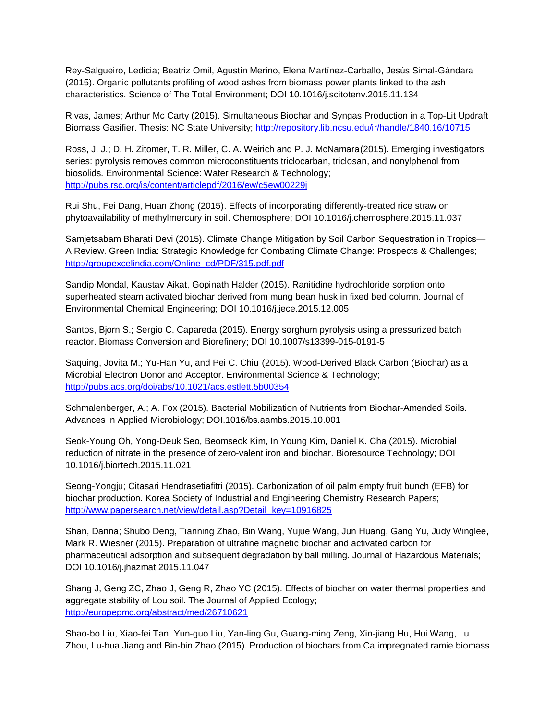Rey-Salgueiro, Ledicia; Beatriz Omil, Agustín Merino, Elena Martínez-Carballo, Jesús Simal-Gándara (2015). Organic pollutants profiling of wood ashes from biomass power plants linked to the ash characteristics. Science of The Total Environment; DOI 10.1016/j.scitotenv.2015.11.134

Rivas, James; Arthur Mc Carty (2015). Simultaneous Biochar and Syngas Production in a Top-Lit Updraft Biomass Gasifier. Thesis: NC State University;<http://repository.lib.ncsu.edu/ir/handle/1840.16/10715>

Ross, J. J.; D. H. Zitomer, T. R. Miller, C. A. Weirich and P. J. McNamara(2015). Emerging investigators series: pyrolysis removes common microconstituents triclocarban, triclosan, and nonylphenol from biosolids. Environmental Science: Water Research & Technology; <http://pubs.rsc.org/is/content/articlepdf/2016/ew/c5ew00229j>

Rui Shu, Fei Dang, Huan Zhong (2015). Effects of incorporating differently-treated rice straw on phytoavailability of methylmercury in soil. Chemosphere; DOI 10.1016/j.chemosphere.2015.11.037

Samjetsabam Bharati Devi (2015). Climate Change Mitigation by Soil Carbon Sequestration in Tropics— A Review. Green India: Strategic Knowledge for Combating Climate Change: Prospects & Challenges; [http://groupexcelindia.com/Online\\_cd/PDF/315.pdf.pdf](http://groupexcelindia.com/Online_cd/PDF/315.pdf.pdf)

Sandip Mondal, Kaustav Aikat, Gopinath Halder (2015). Ranitidine hydrochloride sorption onto superheated steam activated biochar derived from mung bean husk in fixed bed column. Journal of Environmental Chemical Engineering; DOI 10.1016/j.jece.2015.12.005

Santos, Bjorn S.; Sergio C. Capareda (2015). Energy sorghum pyrolysis using a pressurized batch reactor. Biomass Conversion and Biorefinery; DOI 10.1007/s13399-015-0191-5

Saquing, Jovita M.; Yu-Han Yu, and Pei C. Chiu (2015). Wood-Derived Black Carbon (Biochar) as a Microbial Electron Donor and Acceptor. Environmental Science & Technology; <http://pubs.acs.org/doi/abs/10.1021/acs.estlett.5b00354>

Schmalenberger, A.; A. Fox (2015). Bacterial Mobilization of Nutrients from Biochar-Amended Soils. Advances in Applied Microbiology; DOI.1016/bs.aambs.2015.10.001

Seok-Young Oh, Yong-Deuk Seo, Beomseok Kim, In Young Kim, Daniel K. Cha (2015). Microbial reduction of nitrate in the presence of zero-valent iron and biochar. Bioresource Technology; DOI 10.1016/j.biortech.2015.11.021

Seong-Yongju; Citasari Hendrasetiafitri (2015). Carbonization of oil palm empty fruit bunch (EFB) for biochar production. Korea Society of Industrial and Engineering Chemistry Research Papers; [http://www.papersearch.net/view/detail.asp?Detail\\_key=10916825](http://www.papersearch.net/view/detail.asp?Detail_key=10916825)

Shan, Danna; Shubo Deng, Tianning Zhao, Bin Wang, Yujue Wang, Jun Huang, Gang Yu, Judy Winglee, Mark R. Wiesner (2015). Preparation of ultrafine magnetic biochar and activated carbon for pharmaceutical adsorption and subsequent degradation by ball milling. Journal of Hazardous Materials; DOI 10.1016/j.jhazmat.2015.11.047

Shang J, Geng ZC, Zhao J, Geng R, Zhao YC (2015). Effects of biochar on water thermal properties and aggregate stability of Lou soil. The Journal of Applied Ecology; <http://europepmc.org/abstract/med/26710621>

Shao-bo Liu, Xiao-fei Tan, Yun-guo Liu, Yan-ling Gu, Guang-ming Zeng, Xin-jiang Hu, Hui Wang, Lu Zhou, Lu-hua Jiang and Bin-bin Zhao (2015). Production of biochars from Ca impregnated ramie biomass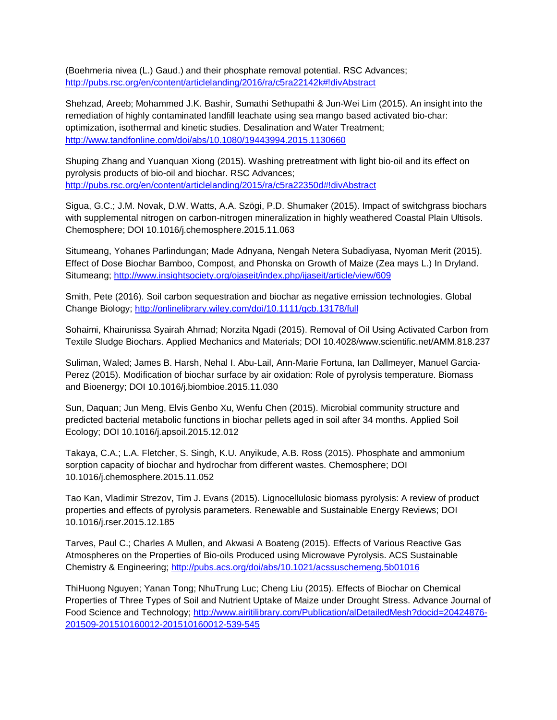(Boehmeria nivea (L.) Gaud.) and their phosphate removal potential. RSC Advances; <http://pubs.rsc.org/en/content/articlelanding/2016/ra/c5ra22142k#!divAbstract>

Shehzad, Areeb; Mohammed J.K. Bashir, Sumathi Sethupathi & Jun-Wei Lim (2015). An insight into the remediation of highly contaminated landfill leachate using sea mango based activated bio-char: optimization, isothermal and kinetic studies. Desalination and Water Treatment; <http://www.tandfonline.com/doi/abs/10.1080/19443994.2015.1130660>

Shuping Zhang and Yuanquan Xiong (2015). Washing pretreatment with light bio-oil and its effect on pyrolysis products of bio-oil and biochar. RSC Advances; <http://pubs.rsc.org/en/content/articlelanding/2015/ra/c5ra22350d#!divAbstract>

Sigua, G.C.; J.M. Novak, D.W. Watts, A.A. Szögi, P.D. Shumaker (2015). Impact of switchgrass biochars with supplemental nitrogen on carbon-nitrogen mineralization in highly weathered Coastal Plain Ultisols. Chemosphere; DOI 10.1016/j.chemosphere.2015.11.063

Situmeang, Yohanes Parlindungan; Made Adnyana, Nengah Netera Subadiyasa, Nyoman Merit (2015). Effect of Dose Biochar Bamboo, Compost, and Phonska on Growth of Maize (Zea mays L.) In Dryland. Situmeang;<http://www.insightsociety.org/ojaseit/index.php/ijaseit/article/view/609>

Smith, Pete (2016). Soil carbon sequestration and biochar as negative emission technologies. Global Change Biology;<http://onlinelibrary.wiley.com/doi/10.1111/gcb.13178/full>

Sohaimi, Khairunissa Syairah Ahmad; Norzita Ngadi (2015). Removal of Oil Using Activated Carbon from Textile Sludge Biochars. Applied Mechanics and Materials; DOI 10.4028/www.scientific.net/AMM.818.237

Suliman, Waled; James B. Harsh, Nehal I. Abu-Lail, Ann-Marie Fortuna, Ian Dallmeyer, Manuel Garcia-Perez (2015). Modification of biochar surface by air oxidation: Role of pyrolysis temperature. Biomass and Bioenergy; DOI 10.1016/j.biombioe.2015.11.030

Sun, Daquan; Jun Meng, Elvis Genbo Xu, Wenfu Chen (2015). Microbial community structure and predicted bacterial metabolic functions in biochar pellets aged in soil after 34 months. Applied Soil Ecology; DOI 10.1016/j.apsoil.2015.12.012

Takaya, C.A.; L.A. Fletcher, S. Singh, K.U. Anyikude, A.B. Ross (2015). Phosphate and ammonium sorption capacity of biochar and hydrochar from different wastes. Chemosphere; DOI 10.1016/j.chemosphere.2015.11.052

Tao Kan, Vladimir Strezov, Tim J. Evans (2015). Lignocellulosic biomass pyrolysis: A review of product properties and effects of pyrolysis parameters. Renewable and Sustainable Energy Reviews; DOI 10.1016/j.rser.2015.12.185

Tarves, Paul C.; Charles A Mullen, and Akwasi A Boateng (2015). Effects of Various Reactive Gas Atmospheres on the Properties of Bio-oils Produced using Microwave Pyrolysis. ACS Sustainable Chemistry & Engineering;<http://pubs.acs.org/doi/abs/10.1021/acssuschemeng.5b01016>

ThiHuong Nguyen; Yanan Tong; NhuTrung Luc; Cheng Liu (2015). Effects of Biochar on Chemical Properties of Three Types of Soil and Nutrient Uptake of Maize under Drought Stress. Advance Journal of Food Science and Technology; [http://www.airitilibrary.com/Publication/alDetailedMesh?docid=20424876-](http://www.airitilibrary.com/Publication/alDetailedMesh?docid=20424876-201509-201510160012-201510160012-539-545) [201509-201510160012-201510160012-539-545](http://www.airitilibrary.com/Publication/alDetailedMesh?docid=20424876-201509-201510160012-201510160012-539-545)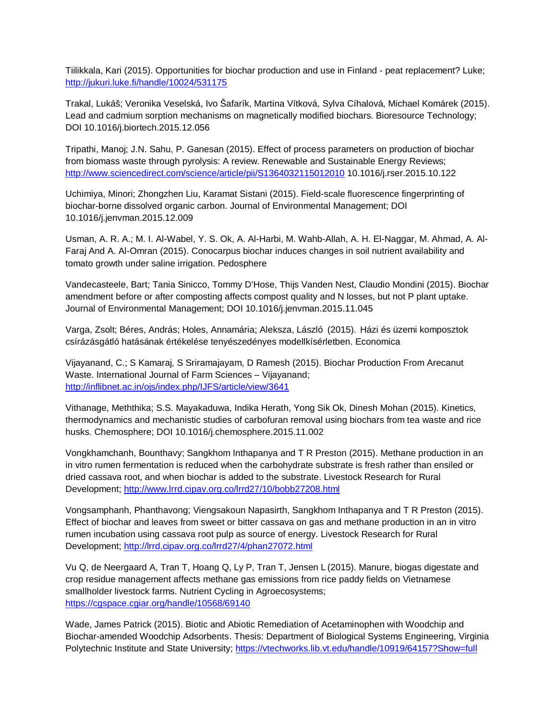Tiilikkala, Kari (2015). Opportunities for biochar production and use in Finland - peat replacement? Luke; <http://jukuri.luke.fi/handle/10024/531175>

Trakal, Lukáš; Veronika Veselská, Ivo Šafarík, Martina Vítková, Sylva Cíhalová, Michael Komárek (2015). Lead and cadmium sorption mechanisms on magnetically modified biochars. Bioresource Technology; DOI 10.1016/j.biortech.2015.12.056

Tripathi, Manoj; J.N. Sahu, P. Ganesan (2015). Effect of process parameters on production of biochar from biomass waste through pyrolysis: A review. Renewable and Sustainable Energy Reviews; <http://www.sciencedirect.com/science/article/pii/S1364032115012010> 10.1016/j.rser.2015.10.122

Uchimiya, Minori; Zhongzhen Liu, Karamat Sistani (2015). Field-scale fluorescence fingerprinting of biochar-borne dissolved organic carbon. Journal of Environmental Management; DOI 10.1016/j.jenvman.2015.12.009

Usman, A. R. A.; M. I. Al-Wabel, Y. S. Ok, A. Al-Harbi, M. Wahb-Allah, A. H. El-Naggar, M. Ahmad, A. Al-Faraj And A. Al-Omran (2015). Conocarpus biochar induces changes in soil nutrient availability and tomato growth under saline irrigation. Pedosphere

Vandecasteele, Bart; Tania Sinicco, Tommy D'Hose, Thijs Vanden Nest, Claudio Mondini (2015). Biochar amendment before or after composting affects compost quality and N losses, but not P plant uptake. Journal of Environmental Management; DOI 10.1016/j.jenvman.2015.11.045

Varga, Zsolt; Béres, András; Holes, Annamária; Aleksza, László (2015). Házi és üzemi komposztok csírázásgátló hatásának értékelése tenyészedényes modellkísérletben. Economica

Vijayanand, C.; S Kamaraj, S Sriramajayam, D Ramesh (2015). Biochar Production From Arecanut Waste. International Journal of Farm Sciences – Vijayanand; <http://inflibnet.ac.in/ojs/index.php/IJFS/article/view/3641>

Vithanage, Meththika; S.S. Mayakaduwa, Indika Herath, Yong Sik Ok, Dinesh Mohan (2015). Kinetics, thermodynamics and mechanistic studies of carbofuran removal using biochars from tea waste and rice husks. Chemosphere; DOI 10.1016/j.chemosphere.2015.11.002

Vongkhamchanh, Bounthavy; Sangkhom Inthapanya and T R Preston (2015). Methane production in an in vitro rumen fermentation is reduced when the carbohydrate substrate is fresh rather than ensiled or dried cassava root, and when biochar is added to the substrate. Livestock Research for Rural Development;<http://www.lrrd.cipav.org.co/lrrd27/10/bobb27208.html>

Vongsamphanh, Phanthavong; Viengsakoun Napasirth, Sangkhom Inthapanya and T R Preston (2015). Effect of biochar and leaves from sweet or bitter cassava on gas and methane production in an in vitro rumen incubation using cassava root pulp as source of energy. Livestock Research for Rural Development;<http://lrrd.cipav.org.co/lrrd27/4/phan27072.html>

Vu Q, de Neergaard A, Tran T, Hoang Q, Ly P, Tran T, Jensen L (2015). Manure, biogas digestate and crop residue management affects methane gas emissions from rice paddy fields on Vietnamese smallholder livestock farms. Nutrient Cycling in Agroecosystems; <https://cgspace.cgiar.org/handle/10568/69140>

Wade, James Patrick (2015). Biotic and Abiotic Remediation of Acetaminophen with Woodchip and Biochar-amended Woodchip Adsorbents. Thesis: Department of Biological Systems Engineering, Virginia Polytechnic Institute and State University;<https://vtechworks.lib.vt.edu/handle/10919/64157?Show=full>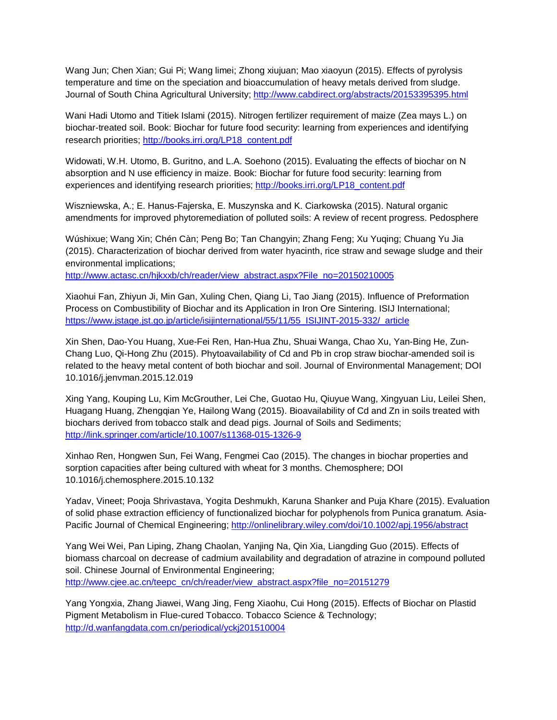Wang Jun; Chen Xian; Gui Pi; Wang limei; Zhong xiujuan; Mao xiaoyun (2015). Effects of pyrolysis temperature and time on the speciation and bioaccumulation of heavy metals derived from sludge. Journal of South China Agricultural University; http://www.cabdirect.org/abstracts/20153395395.html

Wani Hadi Utomo and Titiek Islami (2015). Nitrogen fertilizer requirement of maize (Zea mays L.) on biochar-treated soil. Book: Biochar for future food security: learning from experiences and identifying research priorities; [http://books.irri.org/LP18\\_content.pdf](http://books.irri.org/LP18_content.pdf) 

Widowati, W.H. Utomo, B. Guritno, and L.A. Soehono (2015). Evaluating the effects of biochar on N absorption and N use efficiency in maize. Book: Biochar for future food security: learning from experiences and identifying research priorities; http://books.irri.org/LP18\_content.pdf

Wiszniewska, A.; E. Hanus-Fajerska, E. Muszynska and K. Ciarkowska (2015). Natural organic amendments for improved phytoremediation of polluted soils: A review of recent progress. Pedosphere

Wúshixue; Wang Xin; Chén Càn; Peng Bo; Tan Changyin; Zhang Feng; Xu Yuqing; Chuang Yu Jia (2015). Characterization of biochar derived from water hyacinth, rice straw and sewage sludge and their environmental implications;

[http://www.actasc.cn/hjkxxb/ch/reader/view\\_abstract.aspx?File\\_no=20150210005](http://www.actasc.cn/hjkxxb/ch/reader/view_abstract.aspx?File_no=20150210005)

Xiaohui Fan, Zhiyun Ji, Min Gan, Xuling Chen, Qiang Li, Tao Jiang (2015). Influence of Preformation Process on Combustibility of Biochar and its Application in Iron Ore Sintering. ISIJ International; [https://www.jstage.jst.go.jp/article/isijinternational/55/11/55\\_ISIJINT-2015-332/\\_article](https://www.jstage.jst.go.jp/article/isijinternational/55/11/55_ISIJINT-2015-332/_article)

Xin Shen, Dao-You Huang, Xue-Fei Ren, Han-Hua Zhu, Shuai Wanga, Chao Xu, Yan-Bing He, Zun-Chang Luo, Qi-Hong Zhu (2015). Phytoavailability of Cd and Pb in crop straw biochar-amended soil is related to the heavy metal content of both biochar and soil. Journal of Environmental Management; DOI 10.1016/j.jenvman.2015.12.019

Xing Yang, Kouping Lu, Kim McGrouther, Lei Che, Guotao Hu, Qiuyue Wang, Xingyuan Liu, Leilei Shen, Huagang Huang, Zhengqian Ye, Hailong Wang (2015). Bioavailability of Cd and Zn in soils treated with biochars derived from tobacco stalk and dead pigs. Journal of Soils and Sediments; <http://link.springer.com/article/10.1007/s11368-015-1326-9>

Xinhao Ren, Hongwen Sun, Fei Wang, Fengmei Cao (2015). The changes in biochar properties and sorption capacities after being cultured with wheat for 3 months. Chemosphere; DOI 10.1016/j.chemosphere.2015.10.132

Yadav, Vineet; Pooja Shrivastava, Yogita Deshmukh, Karuna Shanker and Puja Khare (2015). Evaluation of solid phase extraction efficiency of functionalized biochar for polyphenols from Punica granatum. Asia-Pacific Journal of Chemical Engineering;<http://onlinelibrary.wiley.com/doi/10.1002/apj.1956/abstract>

Yang Wei Wei, Pan Liping, Zhang Chaolan, Yanjing Na, Qin Xia, Liangding Guo (2015). Effects of biomass charcoal on decrease of cadmium availability and degradation of atrazine in compound polluted soil. Chinese Journal of Environmental Engineering; [http://www.cjee.ac.cn/teepc\\_cn/ch/reader/view\\_abstract.aspx?file\\_no=20151279](http://www.cjee.ac.cn/teepc_cn/ch/reader/view_abstract.aspx?file_no=20151279)

Yang Yongxia, Zhang Jiawei, Wang Jing, Feng Xiaohu, Cui Hong (2015). Effects of Biochar on Plastid Pigment Metabolism in Flue-cured Tobacco. Tobacco Science & Technology; <http://d.wanfangdata.com.cn/periodical/yckj201510004>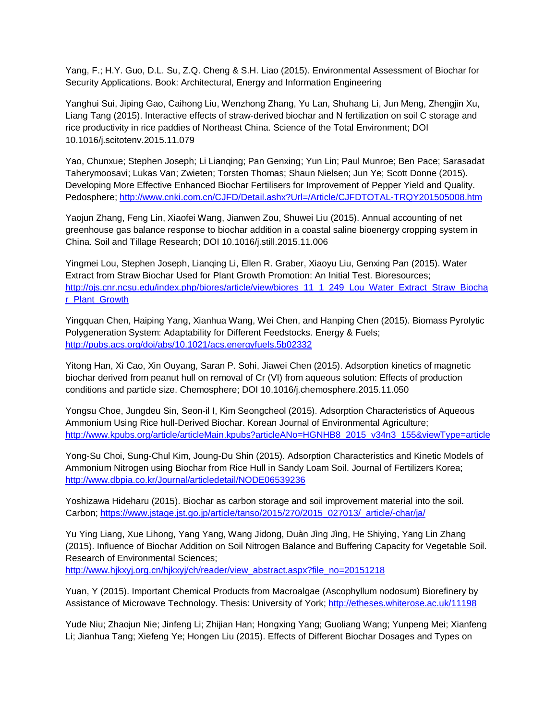Yang, F.; H.Y. Guo, D.L. Su, Z.Q. Cheng & S.H. Liao (2015). Environmental Assessment of Biochar for Security Applications. Book: Architectural, Energy and Information Engineering

Yanghui Sui, Jiping Gao, Caihong Liu, Wenzhong Zhang, Yu Lan, Shuhang Li, Jun Meng, Zhengjin Xu, Liang Tang (2015). Interactive effects of straw-derived biochar and N fertilization on soil C storage and rice productivity in rice paddies of Northeast China. Science of the Total Environment; DOI 10.1016/j.scitotenv.2015.11.079

Yao, Chunxue; Stephen Joseph; Li Lianqing; Pan Genxing; Yun Lin; Paul Munroe; Ben Pace; Sarasadat Taherymoosavi; Lukas Van; Zwieten; Torsten Thomas; Shaun Nielsen; Jun Ye; Scott Donne (2015). Developing More Effective Enhanced Biochar Fertilisers for Improvement of Pepper Yield and Quality. Pedosphere;<http://www.cnki.com.cn/CJFD/Detail.ashx?Url=/Article/CJFDTOTAL-TRQY201505008.htm>

Yaojun Zhang, Feng Lin, Xiaofei Wang, Jianwen Zou, Shuwei Liu (2015). Annual accounting of net greenhouse gas balance response to biochar addition in a coastal saline bioenergy cropping system in China. Soil and Tillage Research; DOI 10.1016/j.still.2015.11.006

Yingmei Lou, Stephen Joseph, Lianqing Li, Ellen R. Graber, Xiaoyu Liu, Genxing Pan (2015). Water Extract from Straw Biochar Used for Plant Growth Promotion: An Initial Test. Bioresources; [http://ojs.cnr.ncsu.edu/index.php/biores/article/view/biores\\_11\\_1\\_249\\_Lou\\_Water\\_Extract\\_Straw\\_Biocha](http://ojs.cnr.ncsu.edu/index.php/biores/article/view/biores_11_1_249_Lou_Water_Extract_Straw_Biochar_Plant_Growth) [r\\_Plant\\_Growth](http://ojs.cnr.ncsu.edu/index.php/biores/article/view/biores_11_1_249_Lou_Water_Extract_Straw_Biochar_Plant_Growth) 

Yingquan Chen, Haiping Yang, Xianhua Wang, Wei Chen, and Hanping Chen (2015). Biomass Pyrolytic Polygeneration System: Adaptability for Different Feedstocks. Energy & Fuels; <http://pubs.acs.org/doi/abs/10.1021/acs.energyfuels.5b02332>

Yitong Han, Xi Cao, Xin Ouyang, Saran P. Sohi, Jiawei Chen (2015). Adsorption kinetics of magnetic biochar derived from peanut hull on removal of Cr (VI) from aqueous solution: Effects of production conditions and particle size. Chemosphere; DOI 10.1016/j.chemosphere.2015.11.050

Yongsu Choe, Jungdeu Sin, Seon-il I, Kim Seongcheol (2015). Adsorption Characteristics of Aqueous Ammonium Using Rice hull-Derived Biochar. Korean Journal of Environmental Agriculture; [http://www.kpubs.org/article/articleMain.kpubs?articleANo=HGNHB8\\_2015\\_v34n3\\_155&viewType=article](http://www.kpubs.org/article/articleMain.kpubs?articleANo=HGNHB8_2015_v34n3_155&viewType=article)

Yong-Su Choi, Sung-Chul Kim, Joung-Du Shin (2015). Adsorption Characteristics and Kinetic Models of Ammonium Nitrogen using Biochar from Rice Hull in Sandy Loam Soil. Journal of Fertilizers Korea; <http://www.dbpia.co.kr/Journal/articledetail/NODE06539236>

Yoshizawa Hideharu (2015). Biochar as carbon storage and soil improvement material into the soil. Carbon; [https://www.jstage.jst.go.jp/article/tanso/2015/270/2015\\_027013/\\_article/-char/ja/](https://www.jstage.jst.go.jp/article/tanso/2015/270/2015_027013/_article/-char/ja/)

Yu Ying Liang, Xue Lihong, Yang Yang, Wang Jidong, Duàn Jìng Jìng, He Shiying, Yang Lin Zhang (2015). Influence of Biochar Addition on Soil Nitrogen Balance and Buffering Capacity for Vegetable Soil. Research of Environmental Sciences;

[http://www.hjkxyj.org.cn/hjkxyj/ch/reader/view\\_abstract.aspx?file\\_no=20151218](http://www.hjkxyj.org.cn/hjkxyj/ch/reader/view_abstract.aspx?file_no=20151218)

Yuan, Y (2015). Important Chemical Products from Macroalgae (Ascophyllum nodosum) Biorefinery by Assistance of Microwave Technology. Thesis: University of York;<http://etheses.whiterose.ac.uk/11198>

Yude Niu; Zhaojun Nie; Jinfeng Li; Zhijian Han; Hongxing Yang; Guoliang Wang; Yunpeng Mei; Xianfeng Li; Jianhua Tang; Xiefeng Ye; Hongen Liu (2015). Effects of Different Biochar Dosages and Types on